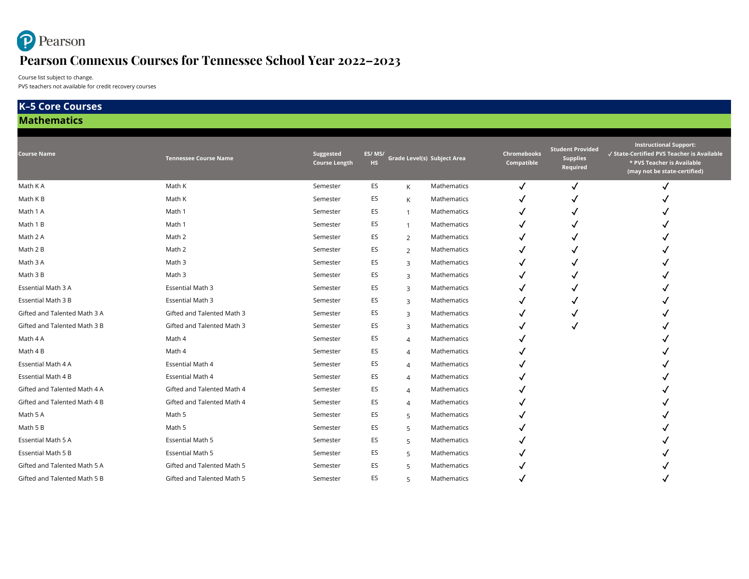# Pearson **Pearson Connexus Courses for Tennessee School Year 2022–2023**

Course list subject to change.

PVS teachers not available for credit recovery courses

#### **Course Name Tennessee Course Name Suggested Course Length ES/ MS/ HS Grade Level(s) Subject Area Chromebooks Compatible Student Provided Supplies Required Instructional Support:** ✓ **State-Certified PVS Teacher is Available \* PVS Teacher is Available (may not be state-certified)** Math K A  $\sim$  Math K  $\sim$  Semester ES K Mathematics  $\sim$   $\sim$   $\sim$   $\sim$   $\sim$   $\sim$ Math K B  $\overline{y}$  and  $\overline{y}$  and  $\overline{y}$  is the semester the semester contribution of  $\overline{y}$   $\overline{y}$  and  $\overline{y}$ Math 1 A → Math 1 and the Semester ES the Mathematics the Semester Control of the Semester Control of the Semester Control of the Semester Control of the Semester Control of the Semester Control of the Semester Control of Math 1 B Math 1 Semester ES <sup>1</sup> Mathematics ✓ ✓ ✓ Math 2 A Math 2 A Math 2 Semester ES 2 Mathematics **√ √** √ <del>√</del> Math 2 B Math 2 Semester ES <sup>2</sup> Mathematics ✓ ✓ ✓ Math 3 A Math 3 A Math 3 A Math 2 Semester ES 3 Mathematics V √ √ √ √ √ √ Math 3 B Math 3 Semester ES <sup>3</sup> Mathematics ✓ ✓ ✓ Essential Math 3 A → Essential Math 3 A Semester ES 3 Mathematics → √ √ √ → √ √ √ √ Essential Math 3 B Essential Math 3 Semester ES <sup>3</sup> Mathematics ✓ ✓ ✓ Gifted and Talented Math 3 A Gifted and Talented Math 3 Semester ES 3 Mathematics **√** √ √ √ Gifted and Talented Math 3 B Gifted and Talented Math 3 Semester ES 3 Mathematics **√** √ √ √ Math 4 A  $\sim$  Math 4  $\sim$  Semester ES 4 Mathematics  $\sim$ Math 4 B  $\overline{y}$  Math 4  $\overline{y}$  Semester ES 4 Mathematics  $\overline{y}$ Essential Math 4 A Essential Math 4  $\checkmark$  Semester ES 4 Mathematics  $\checkmark$ Essential Math 4 B Essential Math 4 Semester ES 4 Mathematics  $\bigvee$ Gifted and Talented Math 4 A Gifted and Talented Math 4 Semester ES 4 Mathematics  $\checkmark$ Gifted and Talented Math 4 B Gifted and Talented Math 4 Semester ES 4 Mathematics  $\checkmark$ Math 5 A Math 5 A Math 5 A Math 5 Semester ES 5 Mathematics **√** √ 5 Math 5 √ 7 200 Math 5 √ 7 200 Math 5 √ 7 200 Math 5 √ 7 200 Math 5 √ 7 200 Math 5 √ 7 200 Math 5 √ 7 200 Math 5 √ 7 200 Math 5 √ 7 200 Math 5 √ 7 200 Mat Math 5 B Math 5 Semester ES <sup>5</sup> Mathematics ✓ ✓ Essential Math 5 A Essential Math 5 Semester ES <sup>5</sup> Mathematics ✓ ✓ Essential Math 5 B Essential Math 5 Semester ES <sup>5</sup> Mathematics ✓ ✓ Gifted and Talented Math 5 A Gifted and Talented Math 5 Semester ES 5 Mathematics **√** √ 7 Theory 5 Mathematics 5 Theory 7 Theory 7 Theory 5 Mathematics 7 Theory 7 Theory 7 Theory 7 Theory 7 Theory 7 Theory 7 Theory 7 Theo Gifted and Talented Math 5 B Gifted and Talented Math 5 Semester ES 5 Mathematics **√** √ 7 5 Mathematics <sub>√</sub> **Mathematics K–5 Core Courses**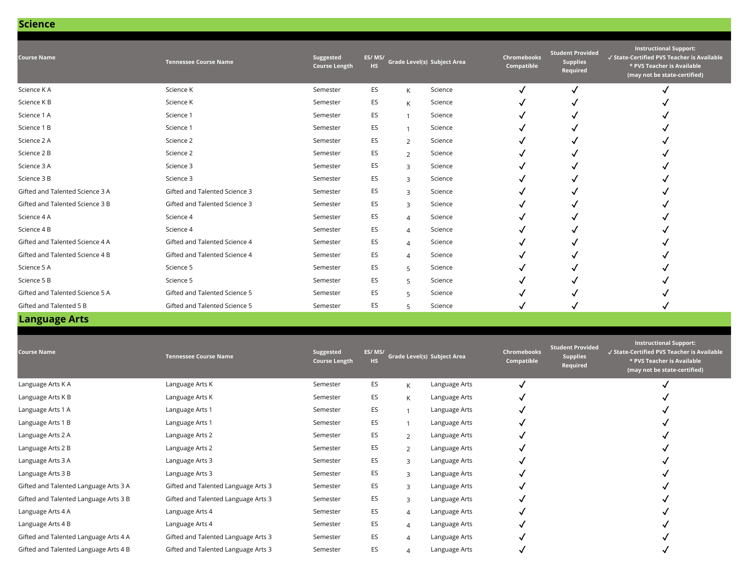|  |  | Science |  |
|--|--|---------|--|
|  |  |         |  |

| <b>Course Name</b>              | <b>Tennessee Course Name</b>  | Suggested<br><b>Course Length</b> | ES/MS/<br><b>HS</b> |                | Grade Level(s) Subject Area | Chromebooks<br>Compatible | <b>Student Provided</b><br><b>Supplies</b><br>Required | <b>Instructional Support:</b><br>√ State-Certified PVS Teacher is Available<br>* PVS Teacher is Available<br>(may not be state-certified) |
|---------------------------------|-------------------------------|-----------------------------------|---------------------|----------------|-----------------------------|---------------------------|--------------------------------------------------------|-------------------------------------------------------------------------------------------------------------------------------------------|
| Science KA                      | Science K                     | Semester                          | ES                  | K              | Science                     |                           | J                                                      |                                                                                                                                           |
| Science K B                     | Science K                     | Semester                          | ES                  | K              | Science                     |                           |                                                        |                                                                                                                                           |
| Science 1 A                     | Science 1                     | Semester                          | ES                  |                | Science                     |                           |                                                        |                                                                                                                                           |
| Science 1 B                     | Science 1                     | Semester                          | ES                  |                | Science                     |                           |                                                        |                                                                                                                                           |
| Science 2 A                     | Science 2                     | Semester                          | ES                  | 2              | Science                     |                           |                                                        |                                                                                                                                           |
| Science 2 B                     | Science 2                     | Semester                          | ES                  | 2              | Science                     |                           |                                                        |                                                                                                                                           |
| Science 3 A                     | Science 3                     | Semester                          | ES                  | $\overline{3}$ | Science                     |                           |                                                        |                                                                                                                                           |
| Science 3 B                     | Science 3                     | Semester                          | ES                  | $\overline{3}$ | Science                     |                           |                                                        |                                                                                                                                           |
| Gifted and Talented Science 3 A | Gifted and Talented Science 3 | Semester                          | ES                  | $\overline{3}$ | Science                     |                           |                                                        |                                                                                                                                           |
| Gifted and Talented Science 3 B | Gifted and Talented Science 3 | Semester                          | ES                  | $\overline{3}$ | Science                     |                           |                                                        |                                                                                                                                           |
| Science 4 A                     | Science 4                     | Semester                          | ES                  | $\overline{4}$ | Science                     |                           |                                                        |                                                                                                                                           |
| Science 4 B                     | Science 4                     | Semester                          | ES                  | $\Delta$       | Science                     |                           |                                                        |                                                                                                                                           |
| Gifted and Talented Science 4 A | Gifted and Talented Science 4 | Semester                          | ES                  | $\Delta$       | Science                     |                           |                                                        |                                                                                                                                           |
| Gifted and Talented Science 4 B | Gifted and Talented Science 4 | Semester                          | ES                  | $\Delta$       | Science                     |                           |                                                        |                                                                                                                                           |
| Science 5 A                     | Science 5                     | Semester                          | ES                  | 5              | Science                     |                           |                                                        |                                                                                                                                           |
| Science 5 B                     | Science 5                     | Semester                          | ES                  | 5              | Science                     |                           |                                                        |                                                                                                                                           |
| Gifted and Talented Science 5 A | Gifted and Talented Science 5 | Semester                          | ES                  | 5              | Science                     |                           |                                                        |                                                                                                                                           |
| Gifted and Talented 5 B         | Gifted and Talented Science 5 | Semester                          | ES                  | 5              | Science                     |                           |                                                        |                                                                                                                                           |

| <b>Course Name</b>                    | <b>Tennessee Course Name</b>        | Suggested<br><b>Course Length</b> | ES/MS/<br><b>HS</b> |                | Grade Level(s) Subject Area | <b>Chromebooks</b><br>Compatible | <b>Student Provided</b><br><b>Supplies</b><br>Required | <b>Instructional Support:</b><br>√ State-Certified PVS Teacher is Available<br>* PVS Teacher is Available<br>(may not be state-certified) |
|---------------------------------------|-------------------------------------|-----------------------------------|---------------------|----------------|-----------------------------|----------------------------------|--------------------------------------------------------|-------------------------------------------------------------------------------------------------------------------------------------------|
| Language Arts K A                     | Language Arts K                     | Semester                          | ES                  | K              | Language Arts               |                                  |                                                        |                                                                                                                                           |
| Language Arts K B                     | Language Arts K                     | Semester                          | ES                  | K              | Language Arts               |                                  |                                                        |                                                                                                                                           |
| Language Arts 1 A                     | Language Arts 1                     | Semester                          | ES                  |                | Language Arts               |                                  |                                                        |                                                                                                                                           |
| Language Arts 1 B                     | Language Arts 1                     | Semester                          | ES                  |                | Language Arts               |                                  |                                                        |                                                                                                                                           |
| Language Arts 2 A                     | Language Arts 2                     | Semester                          | ES                  | $\overline{2}$ | Language Arts               |                                  |                                                        |                                                                                                                                           |
| Language Arts 2 B                     | Language Arts 2                     | Semester                          | ES                  | $\mathcal{P}$  | Language Arts               |                                  |                                                        |                                                                                                                                           |
| Language Arts 3 A                     | Language Arts 3                     | Semester                          | ES                  | $\mathbf{z}$   | Language Arts               |                                  |                                                        |                                                                                                                                           |
| Language Arts 3 B                     | Language Arts 3                     | Semester                          | ES                  | $\mathbf{R}$   | Language Arts               |                                  |                                                        |                                                                                                                                           |
| Gifted and Talented Language Arts 3 A | Gifted and Talented Language Arts 3 | Semester                          | ES                  | $\mathbf{R}$   | Language Arts               |                                  |                                                        |                                                                                                                                           |
| Gifted and Talented Language Arts 3 B | Gifted and Talented Language Arts 3 | Semester                          | ES                  | $\mathbf{z}$   | Language Arts               |                                  |                                                        |                                                                                                                                           |
| Language Arts 4 A                     | Language Arts 4                     | Semester                          | ES                  | $\overline{A}$ | Language Arts               |                                  |                                                        |                                                                                                                                           |
| Language Arts 4 B                     | Language Arts 4                     | Semester                          | ES                  | $\Delta$       | Language Arts               |                                  |                                                        |                                                                                                                                           |
| Gifted and Talented Language Arts 4 A | Gifted and Talented Language Arts 3 | Semester                          | ES                  | $\Delta$       | Language Arts               |                                  |                                                        |                                                                                                                                           |
| Gifted and Talented Language Arts 4 B | Gifted and Talented Language Arts 3 | Semester                          | ES                  | 4              | Language Arts               |                                  |                                                        |                                                                                                                                           |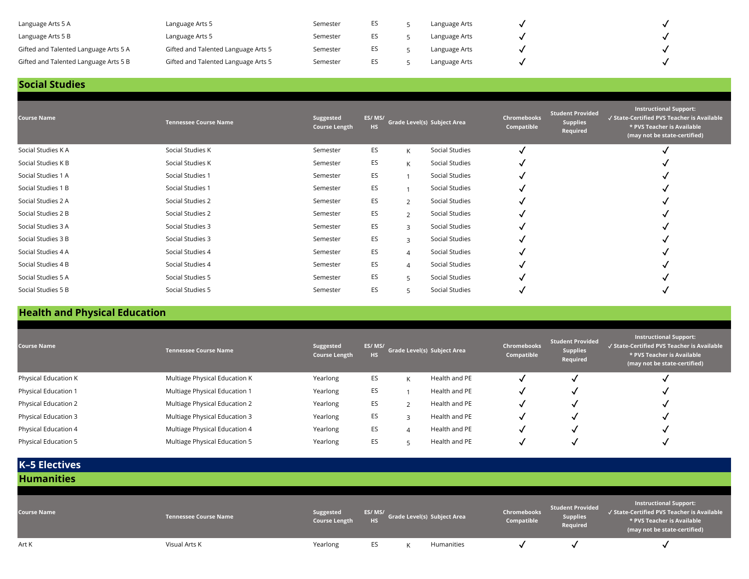| Language Arts 5 A                     | Language Arts 5                     | Semester | ES  | Language Arts |  |
|---------------------------------------|-------------------------------------|----------|-----|---------------|--|
| Language Arts 5 B                     | Language Arts 5                     | Semester | ES. | Language Arts |  |
| Gifted and Talented Language Arts 5 A | Gifted and Talented Language Arts 5 | Semester | ES. | Language Arts |  |
| Gifted and Talented Language Arts 5 B | Gifted and Talented Language Arts 5 | Semester | ES. | Language Arts |  |

### **Social Studies**

| <b>Course Name</b> | <b>Tennessee Course Name</b> | Suggested<br><b>Course Length</b> | ES/MS/<br>HS. |                | Grade Level(s) Subject Area | Chromebooks<br>Compatible | Student Provided<br><b>Supplies</b><br>Required | <b>Instructional Support:</b><br>√ State-Certified PVS Teacher is Available<br>* PVS Teacher is Available<br>(may not be state-certified) |
|--------------------|------------------------------|-----------------------------------|---------------|----------------|-----------------------------|---------------------------|-------------------------------------------------|-------------------------------------------------------------------------------------------------------------------------------------------|
| Social Studies K A | Social Studies K             | Semester                          | ES            | K              | Social Studies              |                           |                                                 |                                                                                                                                           |
| Social Studies K B | Social Studies K             | Semester                          | ES            | K              | Social Studies              |                           |                                                 |                                                                                                                                           |
| Social Studies 1 A | Social Studies 1             | Semester                          | ES            |                | Social Studies              |                           |                                                 |                                                                                                                                           |
| Social Studies 1 B | Social Studies 1             | Semester                          | ES            |                | Social Studies              |                           |                                                 |                                                                                                                                           |
| Social Studies 2 A | Social Studies 2             | Semester                          | ES            | $\overline{2}$ | Social Studies              |                           |                                                 |                                                                                                                                           |
| Social Studies 2 B | Social Studies 2             | Semester                          | ES            | $\mathcal{P}$  | Social Studies              |                           |                                                 |                                                                                                                                           |
| Social Studies 3 A | Social Studies 3             | Semester                          | ES            | 3              | Social Studies              |                           |                                                 |                                                                                                                                           |
| Social Studies 3 B | Social Studies 3             | Semester                          | ES            | $\mathbf{R}$   | Social Studies              |                           |                                                 |                                                                                                                                           |
| Social Studies 4 A | Social Studies 4             | Semester                          | ES            | $\overline{4}$ | Social Studies              |                           |                                                 |                                                                                                                                           |
| Social Studies 4 B | Social Studies 4             | Semester                          | ES            | $\Delta$       | Social Studies              |                           |                                                 |                                                                                                                                           |
| Social Studies 5 A | Social Studies 5             | Semester                          | ES            | 5              | Social Studies              |                           |                                                 |                                                                                                                                           |
| Social Studies 5 B | Social Studies 5             | Semester                          | ES            | 5              | Social Studies              |                           |                                                 |                                                                                                                                           |

# **Health and Physical Education**

| <b>Course Name</b>   | <b>Tennessee Course Name</b>  | Suggested<br><b>Course Length</b> | ES/MS/<br><b>HS</b> |   | Grade Level(s) Subject Area | <b>Chromebooks</b><br>Compatible | <b>Student Provided</b><br><b>Supplies</b><br>Required | <b>Instructional Support:</b><br>√ State-Certified PVS Teacher is Available<br>* PVS Teacher is Available<br>(may not be state-certified) |
|----------------------|-------------------------------|-----------------------------------|---------------------|---|-----------------------------|----------------------------------|--------------------------------------------------------|-------------------------------------------------------------------------------------------------------------------------------------------|
| Physical Education K | Multiage Physical Education K | Yearlong                          | ES                  | K | Health and PE               |                                  |                                                        |                                                                                                                                           |
| Physical Education 1 | Multiage Physical Education 1 | Yearlong                          | ES                  |   | Health and PE               |                                  |                                                        |                                                                                                                                           |
| Physical Education 2 | Multiage Physical Education 2 | Yearlong                          | ES                  |   | Health and PE               |                                  |                                                        |                                                                                                                                           |
| Physical Education 3 | Multiage Physical Education 3 | Yearlong                          | ES                  |   | Health and PE               |                                  |                                                        |                                                                                                                                           |
| Physical Education 4 | Multiage Physical Education 4 | Yearlong                          | ES                  |   | Health and PE               |                                  |                                                        |                                                                                                                                           |
| Physical Education 5 | Multiage Physical Education 5 | Yearlong                          | ES                  |   | Health and PE               |                                  |                                                        |                                                                                                                                           |

| <b>K-5 Electives</b> |                              |                                   |                     |                             |                           |                                                 |                                                                                                                                    |
|----------------------|------------------------------|-----------------------------------|---------------------|-----------------------------|---------------------------|-------------------------------------------------|------------------------------------------------------------------------------------------------------------------------------------|
| <b>Humanities</b>    |                              |                                   |                     |                             |                           |                                                 |                                                                                                                                    |
| <b>Course Name</b>   | <b>Tennessee Course Name</b> | Suggested<br><b>Course Length</b> | ES/MS/<br><b>HS</b> | Grade Level(s) Subject Area | Chromebooks<br>Compatible | Student Provided<br><b>Supplies</b><br>Required | Instructional Support:<br>√ State-Certified PVS Teacher is Available<br>* PVS Teacher is Available<br>(may not be state-certified) |
| Art K                | Visual Arts K                | Yearlong                          | ES                  | Humanities                  |                           |                                                 | $\cdot$                                                                                                                            |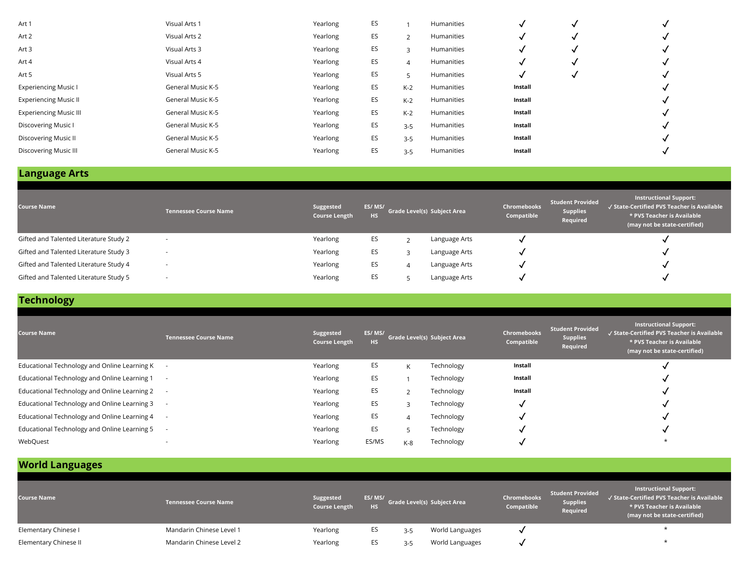| Art 1                         | Visual Arts 1     | Yearlong | ES |               | Humanities |         |  |
|-------------------------------|-------------------|----------|----|---------------|------------|---------|--|
| Art 2                         | Visual Arts 2     | Yearlong | ES | $\mathcal{L}$ | Humanities |         |  |
| Art 3                         | Visual Arts 3     | Yearlong | ES | 3             | Humanities |         |  |
| Art 4                         | Visual Arts 4     | Yearlong | ES | 4             | Humanities |         |  |
| Art 5                         | Visual Arts 5     | Yearlong | ES |               | Humanities |         |  |
| <b>Experiencing Music I</b>   | General Music K-5 | Yearlong | ES | $K-2$         | Humanities | Install |  |
| <b>Experiencing Music II</b>  | General Music K-5 | Yearlong | ES | $K-2$         | Humanities | Install |  |
| <b>Experiencing Music III</b> | General Music K-5 | Yearlong | ES | $K-2$         | Humanities | Install |  |
| Discovering Music I           | General Music K-5 | Yearlong | ES | $3-5$         | Humanities | Install |  |
| Discovering Music II          | General Music K-5 | Yearlong | ES | $3-5$         | Humanities | Install |  |
| <b>Discovering Music III</b>  | General Music K-5 | Yearlong | ES | $3 - 5$       | Humanities | Install |  |
|                               |                   |          |    |               |            |         |  |

| <b>Course Name</b>                     | <b>Tennessee Course Name</b> | Suggested<br><b>Course Length</b> | ES/MS/<br><b>HS</b> | <b>Grade Level(s) Subject Area</b> | <b>Chromebooks</b><br>Compatible | Student Provided<br><b>Supplies</b><br>Required | <b>Instructional Support:</b><br>√ State-Certified PVS Teacher is Available<br>* PVS Teacher is Available<br>(may not be state-certified) |
|----------------------------------------|------------------------------|-----------------------------------|---------------------|------------------------------------|----------------------------------|-------------------------------------------------|-------------------------------------------------------------------------------------------------------------------------------------------|
| Gifted and Talented Literature Study 2 |                              | Yearlong                          | ES                  | Language Arts                      |                                  |                                                 |                                                                                                                                           |
| Gifted and Talented Literature Study 3 |                              | Yearlong                          | ES                  | Language Arts                      |                                  |                                                 |                                                                                                                                           |
| Gifted and Talented Literature Study 4 |                              | Yearlong                          | ES                  | Language Arts                      |                                  |                                                 |                                                                                                                                           |
| Gifted and Talented Literature Study 5 |                              | Yearlong                          | ES                  | Language Arts                      |                                  |                                                 |                                                                                                                                           |

## **Technology**

| <b>Course Name</b>                           | <b>Tennessee Course Name</b> | Suggested<br><b>Course Length</b> | ES/MS/<br><b>HS</b> | Grade Level(s) Subject Area |            | Chromebooks<br>Compatible | <b>Student Provided</b><br><b>Supplies</b><br>Required | <b>Instructional Support:</b><br>√ State-Certified PVS Teacher is Available<br>* PVS Teacher is Available<br>(may not be state-certified) |
|----------------------------------------------|------------------------------|-----------------------------------|---------------------|-----------------------------|------------|---------------------------|--------------------------------------------------------|-------------------------------------------------------------------------------------------------------------------------------------------|
| Educational Technology and Online Learning K |                              | Yearlong                          | ES                  | K                           | Technology | Install                   |                                                        |                                                                                                                                           |
| Educational Technology and Online Learning 1 |                              | Yearlong                          | ES                  |                             | Technology | Install                   |                                                        |                                                                                                                                           |
| Educational Technology and Online Learning 2 |                              | Yearlong                          | ES                  |                             | Technology | Install                   |                                                        |                                                                                                                                           |
| Educational Technology and Online Learning 3 |                              | Yearlong                          | ES                  |                             | Technology |                           |                                                        |                                                                                                                                           |
| Educational Technology and Online Learning 4 |                              | Yearlong                          | ES                  |                             | Technology |                           |                                                        |                                                                                                                                           |
| Educational Technology and Online Learning 5 |                              | Yearlong                          | ES                  |                             | Technology |                           |                                                        |                                                                                                                                           |
| WebQuest                                     |                              | Yearlong                          | ES/MS               | $K-8$                       | Technology |                           |                                                        |                                                                                                                                           |

# **World Languages**

| <b>Course Name</b>    | <b>Tennessee Course Name</b> | Suggested<br><b>Course Length</b> | <b>HS</b> |         | ES/ MS/<br>Crade Level(s) Subject Area | Chromebooks<br>Compatible | <b>Student Provided</b><br><b>Supplies</b><br>Required | <b>Instructional Support:</b><br>√ State-Certified PVS Teacher is Available<br>* PVS Teacher is Available<br>(may not be state-certified) |
|-----------------------|------------------------------|-----------------------------------|-----------|---------|----------------------------------------|---------------------------|--------------------------------------------------------|-------------------------------------------------------------------------------------------------------------------------------------------|
| Elementary Chinese I  | Mandarin Chinese Level 1     | Yearlong                          | ES        | $3 - 5$ | World Languages                        |                           |                                                        |                                                                                                                                           |
| Elementary Chinese II | Mandarin Chinese Level 2     | Yearlong                          | ES        | $3-5$   | World Languages                        |                           |                                                        |                                                                                                                                           |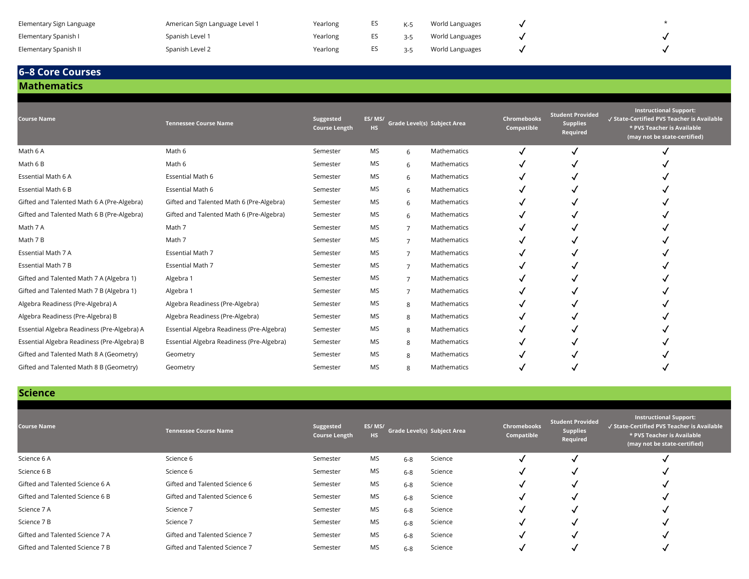| Elementary Sign Language | American Sign Language Level 1 | Yearlong |         | World Languages |  |
|--------------------------|--------------------------------|----------|---------|-----------------|--|
| Elementary Spanish I     | Spanish Level 1                | Yearlong | $2 - 5$ | World Languages |  |
| Elementary Spanish II    | Spanish Level 2                | Yearlong | $3 - 5$ | World Languages |  |

#### **Mathematics 6–8 Core Courses**

#### **Course Name Tennessee Course Name Suggested Course Length ES/ MS/ HS Grade Level(s) Subject Area Chromebooks Compatible Student Provided Supplies Required Instructional Support:** ✓ **State-Certified PVS Teacher is Available \* PVS Teacher is Available (may not be state-certified)** Math 6 A  $\sim$  Math 6 A Math 6 Semester MS 6 Mathematics  $\sim$   $\sim$   $\sim$   $\sim$   $\sim$ Math 6 B Math 6 Semester MS <sup>6</sup> Mathematics ✓ ✓ ✓ Essential Math 6 A Construction of the Semester MS 6 Mathematics V → Construction of the Semester MS 6 Mathematics → V → V → V Essential Math 6 B Essential Math 6 Semester MS <sup>6</sup> Mathematics ✓ ✓ ✓ Gifted and Talented Math 6 A (Pre-Algebra) Gifted and Talented Math 6 (Pre-Algebra) Semester MS 6 Mathematics **√** √ Gifted and Talented Math 6 B (Pre-Algebra) Gifted and Talented Math 6 (Pre-Algebra) Semester MS 6 Mathematics **√** √ √ Math 7 A Math 7 A Math 7 Semester MS 7 Mathematics **√ √** √ <del>√</del> Math 7 B Math 7 Semester MS <sup>7</sup> Mathematics ✓ ✓ ✓ Essential Math 7 A Governal Math 7 A Semester MS 7 Mathematics V → Constant 7 → Constant 7 → Constant 7 → Const Essential Math 7 B Sesential Math 7 Semester MS 7 Mathematics **√** √ √ √ <del>√</del> Gifted and Talented Math 7 A (Algebra 1) Algebra 1 Semester MS 7 Mathematics  $\sqrt{}$ Gifted and Talented Math 7 B (Algebra 1 Algebra 1 Semester MS 7 Mathematics **√** √ Algebra Readiness (Pre-Algebra) A Algebra Readiness (Pre-Algebra) Semester MS 8 Mathematics **√** Algebra Readiness (Pre-Algebra) B Algebra Readiness (Pre-Algebra) Semester MS 8 Mathematics **√** Essential Algebra Readiness (Pre-Algebra) A Essential Algebra Readiness (Pre-Algebra) Semester MS 8 Mathematics **√** √ Essential Algebra Readiness (Pre-Algebra) B Essential Algebra Readiness (Pre-Algebra) Semester MS 8 Mathematics √ Gifted and Talented Math 8 A (Geometry) Geometry Semester MS 8 Mathematics **√** √ Gifted and Talented Math 8 B (Geometry) Geometry Semester MS 8 Mathematics  $\checkmark$

#### **Science**

| <b>Course Name</b>              | <b>Tennessee Course Name</b>  | Suggested<br><b>Course Length</b> | ES/MS/<br><b>HS</b> |         | <b>Grade Level(s) Subject Area</b> | Chromebooks<br>Compatible | <b>Student Provided</b><br><b>Supplies</b><br>Required | Instructional Support:<br>√ State-Certified PVS Teacher is Available<br>* PVS Teacher is Available<br>(may not be state-certified) |
|---------------------------------|-------------------------------|-----------------------------------|---------------------|---------|------------------------------------|---------------------------|--------------------------------------------------------|------------------------------------------------------------------------------------------------------------------------------------|
| Science 6 A                     | Science 6                     | Semester                          | MS                  | $6 - 8$ | Science                            |                           |                                                        |                                                                                                                                    |
| Science 6 B                     | Science 6                     | Semester                          | <b>MS</b>           | $6-8$   | Science                            |                           |                                                        |                                                                                                                                    |
| Gifted and Talented Science 6 A | Gifted and Talented Science 6 | Semester                          | MS                  | $6 - 8$ | Science                            |                           |                                                        |                                                                                                                                    |
| Gifted and Talented Science 6 B | Gifted and Talented Science 6 | Semester                          | <b>MS</b>           | $6 - 8$ | Science                            |                           |                                                        | $\cdot$                                                                                                                            |
| Science 7 A                     | Science 7                     | Semester                          | MS                  | $6 - 8$ | Science                            |                           |                                                        |                                                                                                                                    |
| Science 7 B                     | Science 7                     | Semester                          | <b>MS</b>           | $6-8$   | Science                            |                           |                                                        |                                                                                                                                    |
| Gifted and Talented Science 7 A | Gifted and Talented Science 7 | Semester                          | MS                  | $6 - 8$ | Science                            |                           |                                                        |                                                                                                                                    |
| Gifted and Talented Science 7 B | Gifted and Talented Science 7 | Semester                          | <b>MS</b>           | $6 - 8$ | Science                            |                           |                                                        |                                                                                                                                    |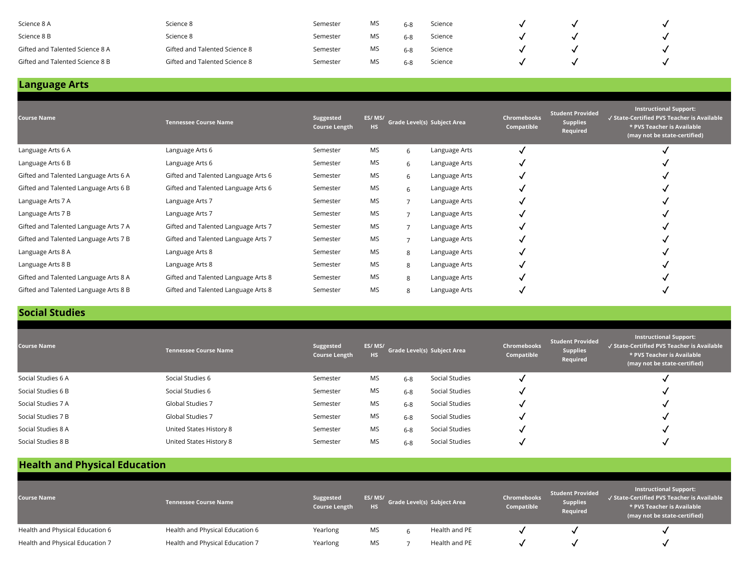| Science 8 A                     | Science 8                     | Semester | MS | Science |  |  |
|---------------------------------|-------------------------------|----------|----|---------|--|--|
| Science 8 B                     | Science 8                     | Semester | MS | Science |  |  |
| Gifted and Talented Science 8 A | Gifted and Talented Science 8 | Semester | MS | Science |  |  |
| Gifted and Talented Science 8 B | Gifted and Talented Science 8 | Semester | MS | Science |  |  |

| <b>Course Name</b>                    | <b>Tennessee Course Name</b>        | Suggested<br><b>Course Length</b> | ES/MS/<br><b>HS</b> | Grade Level(s) Subject Area |               | Chromebooks<br>Compatible | <b>Student Provided</b><br><b>Supplies</b><br>Required | <b>Instructional Support:</b><br>√ State-Certified PVS Teacher is Available<br>* PVS Teacher is Available<br>(may not be state-certified) |
|---------------------------------------|-------------------------------------|-----------------------------------|---------------------|-----------------------------|---------------|---------------------------|--------------------------------------------------------|-------------------------------------------------------------------------------------------------------------------------------------------|
| Language Arts 6 A                     | Language Arts 6                     | Semester                          | MS                  | 6                           | Language Arts |                           |                                                        |                                                                                                                                           |
| Language Arts 6 B                     | Language Arts 6                     | Semester                          | <b>MS</b>           | 6                           | Language Arts |                           |                                                        |                                                                                                                                           |
| Gifted and Talented Language Arts 6 A | Gifted and Talented Language Arts 6 | Semester                          | <b>MS</b>           | 6                           | Language Arts |                           |                                                        |                                                                                                                                           |
| Gifted and Talented Language Arts 6 B | Gifted and Talented Language Arts 6 | Semester                          | <b>MS</b>           | 6                           | Language Arts |                           |                                                        |                                                                                                                                           |
| Language Arts 7 A                     | Language Arts 7                     | Semester                          | <b>MS</b>           |                             | Language Arts |                           |                                                        |                                                                                                                                           |
| Language Arts 7 B                     | Language Arts 7                     | Semester                          | <b>MS</b>           |                             | Language Arts |                           |                                                        |                                                                                                                                           |
| Gifted and Talented Language Arts 7 A | Gifted and Talented Language Arts 7 | Semester                          | <b>MS</b>           |                             | Language Arts |                           |                                                        |                                                                                                                                           |
| Gifted and Talented Language Arts 7 B | Gifted and Talented Language Arts 7 | Semester                          | <b>MS</b>           |                             | Language Arts |                           |                                                        |                                                                                                                                           |
| Language Arts 8 A                     | Language Arts 8                     | Semester                          | <b>MS</b>           | 8                           | Language Arts |                           |                                                        |                                                                                                                                           |
| Language Arts 8 B                     | Language Arts 8                     | Semester                          | <b>MS</b>           | 8                           | Language Arts |                           |                                                        |                                                                                                                                           |
| Gifted and Talented Language Arts 8 A | Gifted and Talented Language Arts 8 | Semester                          | <b>MS</b>           | 8                           | Language Arts |                           |                                                        |                                                                                                                                           |
| Gifted and Talented Language Arts 8 B | Gifted and Talented Language Arts 8 | Semester                          | <b>MS</b>           | 8                           | Language Arts |                           |                                                        |                                                                                                                                           |

## **Social Studies**

| <b>Course Name</b> | <b>Tennessee Course Name</b> | Suggested<br><b>Course Length</b> | ES/MS/<br><b>HS</b> |         | <b>Grade Level(s) Subject Area</b> | <b>Chromebooks</b><br>Compatible | <b>Student Provided</b><br><b>Supplies</b><br>Required | <b>Instructional Support:</b><br>√ State-Certified PVS Teacher is Available<br>* PVS Teacher is Available<br>(may not be state-certified) |
|--------------------|------------------------------|-----------------------------------|---------------------|---------|------------------------------------|----------------------------------|--------------------------------------------------------|-------------------------------------------------------------------------------------------------------------------------------------------|
| Social Studies 6 A | Social Studies 6             | Semester                          | MS                  | $6 - 8$ | Social Studies                     |                                  |                                                        |                                                                                                                                           |
| Social Studies 6 B | Social Studies 6             | Semester                          | MS                  | $6 - 8$ | Social Studies                     |                                  |                                                        |                                                                                                                                           |
| Social Studies 7 A | <b>Global Studies 7</b>      | Semester                          | <b>MS</b>           | $6 - 8$ | Social Studies                     |                                  |                                                        |                                                                                                                                           |
| Social Studies 7 B | Global Studies 7             | Semester                          | <b>MS</b>           | $6 - 8$ | Social Studies                     |                                  |                                                        |                                                                                                                                           |
| Social Studies 8 A | United States History 8      | Semester                          | MS                  | $6 - 8$ | Social Studies                     |                                  |                                                        |                                                                                                                                           |
| Social Studies 8 B | United States History 8      | Semester                          | <b>MS</b>           | $6 - 8$ | Social Studies                     |                                  |                                                        |                                                                                                                                           |

# **Health and Physical Education**

| <b>Course Name</b>              | <b>Tennessee Course Name</b>    | Suggested<br><b>Course Length</b> | ES/MS/<br><b>HS</b> | Grade Level(s) Subject Area | Chromebooks<br>Compatible | <b>Student Provided</b><br><b>Supplies</b><br>Required | <b>Instructional Support:</b><br>√ State-Certified PVS Teacher is Available<br>* PVS Teacher is Available<br>(may not be state-certified) |
|---------------------------------|---------------------------------|-----------------------------------|---------------------|-----------------------------|---------------------------|--------------------------------------------------------|-------------------------------------------------------------------------------------------------------------------------------------------|
| Health and Physical Education 6 | Health and Physical Education 6 | Yearlong                          | MS                  | Health and PE               |                           |                                                        |                                                                                                                                           |
| Health and Physical Education 7 | Health and Physical Education 7 | Yearlong                          | MS                  | Health and PE               |                           |                                                        |                                                                                                                                           |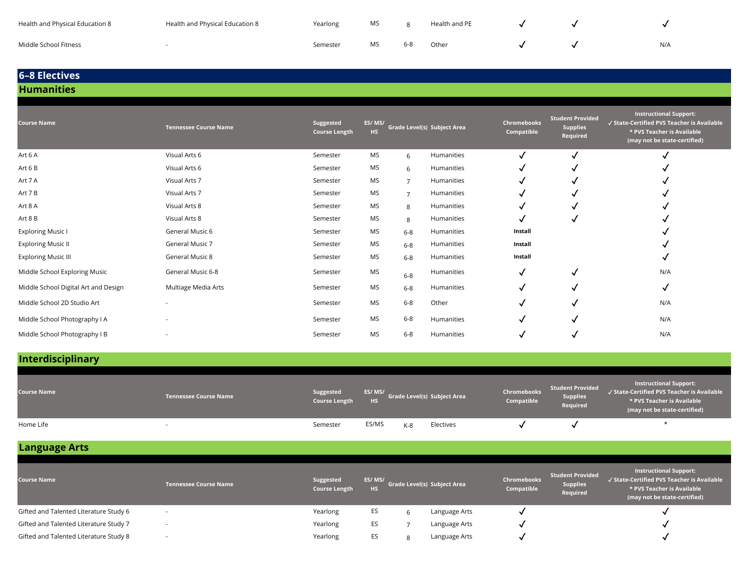| Health and Physical Education 8 | Health and Physical Education 8 | Yearlong | <b>MS</b> |         | Health and PE |  |     |
|---------------------------------|---------------------------------|----------|-----------|---------|---------------|--|-----|
| Middle School Fitness           |                                 | Semester | MS        | $6 - 8$ | Other         |  | N/A |

### **6–8 Electives Humanities**

#### **Course Name Tennessee Course Name Suggested Course Length ES/ MS/ HS Grade Level(s) Subject Area Chromebooks Compatible Student Provided Supplies Required Instructional Support:** ✓ **State-Certified PVS Teacher is Available \* PVS Teacher is Available (may not be state-certified)** Art 6 A Visual Arts 6 Semester MS <sup>6</sup> Humanities ✓ ✓ ✓ Art 6 B Visual Arts 6 Semester MS <sup>6</sup> Humanities ✓ ✓ ✓ Art 7 A Visual Arts 7 Semester MS <sup>7</sup> Humanities ✓ ✓ ✓ Art 7 B Visual Arts 7 Semester MS <sup>7</sup> Humanities ✓ ✓ ✓ Art 8 A Visual Arts 8 Semester MS <sup>8</sup> Humanities ✓ ✓ ✓ Art 8 B Visual Arts 8 Semester MS <sup>8</sup> Humanities ✓ ✓ ✓ Exploring Music I General Music 6 Semester MS <sub>6-8</sub> Humanities Install Semester Semester Semester of The Music 1 Exploring Music II **Support Austral Music 7** Semester MS 6-8 Humanities **Install** Install in the Semester of Semester MS 6-8 Humanities Exploring Music III **General Music 8** Semester MS 6-8 Humanities **Install** Install Semester The Semester MS 6-8 Humanities Middle School Exploring Music Summic General Music 6-8 Semester MS  $6-8$  Humanities  $\sqrt$ Middle School Digital Art and Design Multiage Media Arts Semester MS 6-8 Humanities √ √ √ √ Middle School 2D Studio Art - Semester MS 6-8 Other **√** √ √ √ N/A Middle School Photography I A - SAME - Semester MS 6-8 Humanities **√** √ √ N/A Middle School Photography I B - Semester MS 6-8 Humanities √ √ √ √ N/A

### **Interdisciplinary**

| <b>Course Name</b> | <b>Tennessee Course Name</b> | Suggested<br><b>Course Length</b> | <b>HS</b> |     | ES/ MS/<br>Grade Level(s) Subject Area | Chromebooks<br>Compatible | <b>Student Provided</b><br><b>Supplies</b><br>Required | <b>Instructional Support:</b><br>$\sqrt{}$ State-Certified PVS Teacher is Available $^1$<br>* PVS Teacher is Available<br>(may not be state-certified) |
|--------------------|------------------------------|-----------------------------------|-----------|-----|----------------------------------------|---------------------------|--------------------------------------------------------|--------------------------------------------------------------------------------------------------------------------------------------------------------|
| Home Life          |                              | Semester                          | ES/MS     | K-8 | Electives                              |                           |                                                        |                                                                                                                                                        |

**Language Arts**

| <b>Course Name</b>                     | <b>Tennessee Course Name</b> | Suggested<br><b>Course Length</b> | ES/MS/<br><b>HS</b> | Grade Level(s) Subject Area | Chromebooks<br>Compatible | <b>Student Provided</b><br><b>Supplies</b><br>Required | <b>Instructional Support:</b><br>√ State-Certified PVS Teacher is Available<br>* PVS Teacher is Available<br>(may not be state-certified) |
|----------------------------------------|------------------------------|-----------------------------------|---------------------|-----------------------------|---------------------------|--------------------------------------------------------|-------------------------------------------------------------------------------------------------------------------------------------------|
| Gifted and Talented Literature Study 6 |                              | Yearlong                          | ES                  | Language Arts               |                           |                                                        |                                                                                                                                           |
| Gifted and Talented Literature Study 7 | $\overline{\phantom{a}}$     | Yearlong                          | ES                  | Language Arts               |                           |                                                        |                                                                                                                                           |
| Gifted and Talented Literature Study 8 | $\sim$                       | Yearlong                          | ES                  | Language Arts               |                           |                                                        |                                                                                                                                           |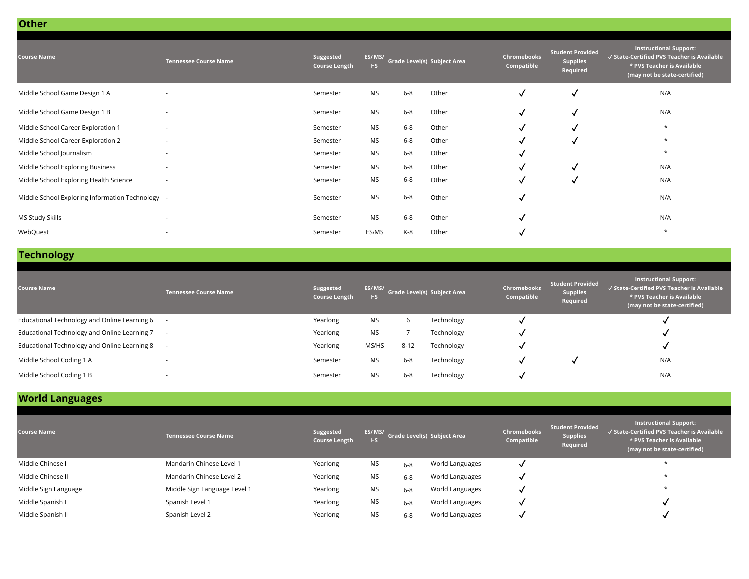| <b>Tennessee Course Name</b>                     | Suggested<br><b>Course Length</b> | <b>HS</b> |         |       | Chromebooks<br>Compatible                                                                                           | <b>Student Provided</b><br><b>Supplies</b><br>Required | <b>Instructional Support:</b><br>√ State-Certified PVS Teacher is Available<br>* PVS Teacher is Available<br>(may not be state-certified) |
|--------------------------------------------------|-----------------------------------|-----------|---------|-------|---------------------------------------------------------------------------------------------------------------------|--------------------------------------------------------|-------------------------------------------------------------------------------------------------------------------------------------------|
| $\overline{\phantom{a}}$                         | Semester                          | MS        | $6-8$   |       | $\checkmark$                                                                                                        | $\checkmark$                                           | N/A                                                                                                                                       |
| $\overline{\phantom{a}}$                         | Semester                          | <b>MS</b> | $6-8$   |       | ✓                                                                                                                   | √                                                      | N/A                                                                                                                                       |
| $\overline{\phantom{a}}$                         | Semester                          | MS        | $6 - 8$ |       | ✓                                                                                                                   | √                                                      | $\star$                                                                                                                                   |
| $\overline{\phantom{a}}$                         | Semester                          | MS        | $6 - 8$ |       |                                                                                                                     | √                                                      | $\star$                                                                                                                                   |
| $\overline{\phantom{a}}$                         | Semester                          | MS        | $6 - 8$ |       | √                                                                                                                   |                                                        | $\star$                                                                                                                                   |
|                                                  | Semester                          | MS        | $6-8$   |       | √                                                                                                                   | √                                                      | N/A                                                                                                                                       |
| $\overline{\phantom{a}}$                         | Semester                          | MS        | $6-8$   |       | √                                                                                                                   | √                                                      | N/A                                                                                                                                       |
| Middle School Exploring Information Technology - | Semester                          | MS        | $6-8$   |       | √                                                                                                                   |                                                        | N/A                                                                                                                                       |
|                                                  | Semester                          | MS        | $6-8$   |       | ✓                                                                                                                   |                                                        | N/A                                                                                                                                       |
| $\overline{\phantom{a}}$                         | Semester                          | ES/MS     | $K-8$   | Other |                                                                                                                     |                                                        | $\star$                                                                                                                                   |
|                                                  |                                   |           | ES/MS/  |       | <b>Grade Level(s) Subject Area</b><br>Other<br>Other<br>Other<br>Other<br>Other<br>Other<br>Other<br>Other<br>Other |                                                        |                                                                                                                                           |

# **Technology**

**Other**

| <b>Course Name</b>                             | <b>Tennessee Course Name</b> | Suggested<br><b>Course Length</b> | ES/MS/<br><b>HS</b> |          | Grade Level(s) Subject Area | <b>Chromebooks</b><br>Compatible | <b>Student Provided</b><br><b>Supplies</b><br>Required | <b>Instructional Support:</b><br>√ State-Certified PVS Teacher is Available<br>* PVS Teacher is Available<br>(may not be state-certified) |
|------------------------------------------------|------------------------------|-----------------------------------|---------------------|----------|-----------------------------|----------------------------------|--------------------------------------------------------|-------------------------------------------------------------------------------------------------------------------------------------------|
| Educational Technology and Online Learning 6   |                              | Yearlong                          | MS                  | ь        | Technology                  |                                  |                                                        |                                                                                                                                           |
| Educational Technology and Online Learning 7 - |                              | Yearlong                          | <b>MS</b>           |          | Technology                  |                                  |                                                        |                                                                                                                                           |
| Educational Technology and Online Learning 8   |                              | Yearlong                          | MS/HS               | $8 - 12$ | Technology                  |                                  |                                                        |                                                                                                                                           |
| Middle School Coding 1 A                       | $\sim$                       | Semester                          | MS                  | $6 - 8$  | Technology                  |                                  |                                                        | N/A                                                                                                                                       |
| Middle School Coding 1 B                       | $\sim$                       | Semester                          | <b>MS</b>           | $6 - 8$  | Technology                  |                                  |                                                        | N/A                                                                                                                                       |

# **World Languages**

| <b>Course Name</b>   | <b>Tennessee Course Name</b> | Suggested<br><b>Course Length</b> | ES/MS/<br><b>HS</b> |         | Grade Level(s) Subject Area | <b>Chromebooks</b><br>Compatible | Student Provided<br><b>Supplies</b><br>Required | Instructional Support:<br>√ State-Certified PVS Teacher is Available<br>* PVS Teacher is Available<br>(may not be state-certified) |
|----------------------|------------------------------|-----------------------------------|---------------------|---------|-----------------------------|----------------------------------|-------------------------------------------------|------------------------------------------------------------------------------------------------------------------------------------|
| Middle Chinese I     | Mandarin Chinese Level 1     | Yearlong                          | MS                  | $6-8$   | World Languages             |                                  |                                                 |                                                                                                                                    |
| Middle Chinese II    | Mandarin Chinese Level 2     | Yearlong                          | MS                  | $6 - 8$ | World Languages             |                                  |                                                 |                                                                                                                                    |
| Middle Sign Language | Middle Sign Language Level 1 | Yearlong                          | <b>MS</b>           | $6 - 8$ | World Languages             |                                  |                                                 |                                                                                                                                    |
| Middle Spanish I     | Spanish Level 1              | Yearlong                          | MS                  | $6 - 8$ | World Languages             |                                  |                                                 |                                                                                                                                    |
| Middle Spanish II    | Spanish Level 2              | Yearlong                          | <b>MS</b>           | $6 - 8$ | World Languages             |                                  |                                                 |                                                                                                                                    |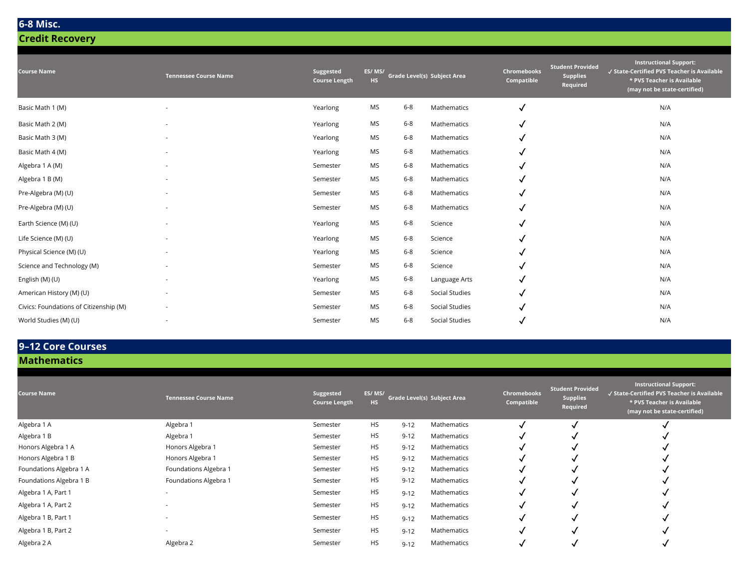### **6-8 Misc.**

**Credit Recovery** 

| <b>Course Name</b>                     | <b>Tennessee Course Name</b> | Suggested<br><b>Course Length</b> | ES/MS/<br><b>HS</b> |         | Grade Level(s) Subject Area | Chromebooks<br>Compatible | <b>Student Provided</b><br><b>Supplies</b><br>Required | <b>Instructional Support:</b><br>√ State-Certified PVS Teacher is Available<br>* PVS Teacher is Available<br>(may not be state-certified) |
|----------------------------------------|------------------------------|-----------------------------------|---------------------|---------|-----------------------------|---------------------------|--------------------------------------------------------|-------------------------------------------------------------------------------------------------------------------------------------------|
| Basic Math 1 (M)                       |                              | Yearlong                          | MS                  | $6 - 8$ | Mathematics                 | $\checkmark$              |                                                        | N/A                                                                                                                                       |
| Basic Math 2 (M)                       | ٠                            | Yearlong                          | MS                  | $6 - 8$ | Mathematics                 | √                         |                                                        | N/A                                                                                                                                       |
| Basic Math 3 (M)                       | ٠                            | Yearlong                          | MS                  | $6 - 8$ | Mathematics                 | ✓                         |                                                        | N/A                                                                                                                                       |
| Basic Math 4 (M)                       | ٠                            | Yearlong                          | MS                  | $6 - 8$ | Mathematics                 | √                         |                                                        | N/A                                                                                                                                       |
| Algebra 1 A (M)                        | ٠                            | Semester                          | <b>MS</b>           | $6 - 8$ | Mathematics                 | ✓                         |                                                        | N/A                                                                                                                                       |
| Algebra 1 B (M)                        |                              | Semester                          | MS                  | $6 - 8$ | Mathematics                 | √                         |                                                        | N/A                                                                                                                                       |
| Pre-Algebra (M) (U)                    |                              | Semester                          | MS                  | $6 - 8$ | Mathematics                 | √                         |                                                        | N/A                                                                                                                                       |
| Pre-Algebra (M) (U)                    |                              | Semester                          | MS                  | $6 - 8$ | Mathematics                 | √                         |                                                        | N/A                                                                                                                                       |
| Earth Science (M) (U)                  | ٠                            | Yearlong                          | MS                  | $6 - 8$ | Science                     | √                         |                                                        | N/A                                                                                                                                       |
| Life Science (M) (U)                   |                              | Yearlong                          | MS                  | $6 - 8$ | Science                     | √                         |                                                        | N/A                                                                                                                                       |
| Physical Science (M) (U)               |                              | Yearlong                          | MS                  | $6 - 8$ | Science                     | √                         |                                                        | N/A                                                                                                                                       |
| Science and Technology (M)             |                              | Semester                          | MS                  | $6 - 8$ | Science                     | √                         |                                                        | N/A                                                                                                                                       |
| English (M) (U)                        |                              | Yearlong                          | MS                  | $6 - 8$ | Language Arts               | √                         |                                                        | N/A                                                                                                                                       |
| American History (M) (U)               |                              | Semester                          | MS                  | $6 - 8$ | Social Studies              | √                         |                                                        | N/A                                                                                                                                       |
| Civics: Foundations of Citizenship (M) |                              | Semester                          | MS                  | $6 - 8$ | Social Studies              |                           |                                                        | N/A                                                                                                                                       |
| World Studies (M) (U)                  |                              | Semester                          | <b>MS</b>           | $6 - 8$ | Social Studies              | √                         |                                                        | N/A                                                                                                                                       |

# **9–12 Core Courses**

**Mathematics**

| <b>Course Name</b>      | <b>Tennessee Course Name</b> | Suggested<br><b>Course Length</b> | ES/MS/<br>HS. |          | Grade Level(s) Subject Area | <b>Chromebooks</b><br>Compatible | <b>Student Provided</b><br><b>Supplies</b><br>Required | <b>Instructional Support:</b><br>√ State-Certified PVS Teacher is Available<br>* PVS Teacher is Available<br>(may not be state-certified) |
|-------------------------|------------------------------|-----------------------------------|---------------|----------|-----------------------------|----------------------------------|--------------------------------------------------------|-------------------------------------------------------------------------------------------------------------------------------------------|
| Algebra 1 A             | Algebra 1                    | Semester                          | <b>HS</b>     | $9 - 12$ | Mathematics                 |                                  |                                                        |                                                                                                                                           |
| Algebra 1 B             | Algebra 1                    | Semester                          | <b>HS</b>     | $9 - 12$ | Mathematics                 |                                  |                                                        |                                                                                                                                           |
| Honors Algebra 1 A      | Honors Algebra 1             | Semester                          | <b>HS</b>     | $9 - 12$ | Mathematics                 |                                  |                                                        |                                                                                                                                           |
| Honors Algebra 1 B      | Honors Algebra 1             | Semester                          | <b>HS</b>     | $9 - 12$ | Mathematics                 |                                  |                                                        |                                                                                                                                           |
| Foundations Algebra 1 A | Foundations Algebra 1        | Semester                          | <b>HS</b>     | $9 - 12$ | Mathematics                 |                                  |                                                        |                                                                                                                                           |
| Foundations Algebra 1 B | Foundations Algebra 1        | Semester                          | <b>HS</b>     | $9 - 12$ | Mathematics                 |                                  |                                                        |                                                                                                                                           |
| Algebra 1 A, Part 1     | $\overline{\phantom{a}}$     | Semester                          | <b>HS</b>     | $9 - 12$ | Mathematics                 |                                  |                                                        |                                                                                                                                           |
| Algebra 1 A, Part 2     |                              | Semester                          | <b>HS</b>     | $9 - 12$ | Mathematics                 |                                  |                                                        |                                                                                                                                           |
| Algebra 1 B, Part 1     |                              | Semester                          | <b>HS</b>     | $9 - 12$ | Mathematics                 |                                  |                                                        |                                                                                                                                           |
| Algebra 1 B, Part 2     | $\overline{\phantom{a}}$     | Semester                          | <b>HS</b>     | $9 - 12$ | Mathematics                 |                                  |                                                        |                                                                                                                                           |
| Algebra 2 A             | Algebra 2                    | Semester                          | <b>HS</b>     | $9 - 12$ | Mathematics                 |                                  |                                                        |                                                                                                                                           |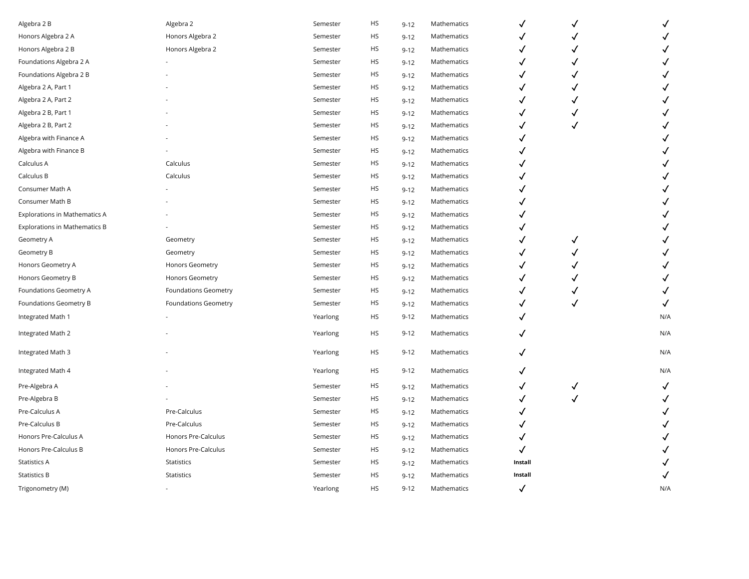| Algebra 2 B                          | Algebra 2                   | Semester | HS        | $9 - 12$ | Mathematics | √            |   | $\checkmark$ |
|--------------------------------------|-----------------------------|----------|-----------|----------|-------------|--------------|---|--------------|
| Honors Algebra 2 A                   | Honors Algebra 2            | Semester | <b>HS</b> | $9 - 12$ | Mathematics |              |   |              |
| Honors Algebra 2 B                   | Honors Algebra 2            | Semester | HS        | $9 - 12$ | Mathematics | √            |   |              |
| Foundations Algebra 2 A              |                             | Semester | <b>HS</b> | $9 - 12$ | Mathematics | √            |   |              |
| Foundations Algebra 2 B              |                             | Semester | HS        | $9 - 12$ | Mathematics | ✓            |   |              |
| Algebra 2 A, Part 1                  |                             | Semester | HS        | $9 - 12$ | Mathematics | ✓            |   |              |
| Algebra 2 A, Part 2                  |                             | Semester | HS        | $9 - 12$ | Mathematics |              |   |              |
| Algebra 2 B, Part 1                  |                             | Semester | <b>HS</b> | $9 - 12$ | Mathematics |              |   |              |
| Algebra 2 B, Part 2                  |                             | Semester | <b>HS</b> | $9 - 12$ | Mathematics |              |   |              |
| Algebra with Finance A               |                             | Semester | HS        | $9 - 12$ | Mathematics |              |   |              |
| Algebra with Finance B               |                             | Semester | HS        | $9 - 12$ | Mathematics |              |   |              |
| Calculus A                           | Calculus                    | Semester | <b>HS</b> | $9 - 12$ | Mathematics |              |   |              |
| Calculus B                           | Calculus                    | Semester | <b>HS</b> | $9 - 12$ | Mathematics |              |   |              |
| Consumer Math A                      |                             | Semester | <b>HS</b> | $9 - 12$ | Mathematics |              |   |              |
| Consumer Math B                      |                             | Semester | <b>HS</b> | $9 - 12$ | Mathematics |              |   |              |
| <b>Explorations in Mathematics A</b> |                             | Semester | HS        | $9 - 12$ | Mathematics |              |   |              |
| <b>Explorations in Mathematics B</b> |                             | Semester | HS        | $9 - 12$ | Mathematics |              |   |              |
| Geometry A                           | Geometry                    | Semester | <b>HS</b> | $9 - 12$ | Mathematics |              |   |              |
| Geometry B                           | Geometry                    | Semester | HS        | $9 - 12$ | Mathematics |              |   |              |
| Honors Geometry A                    | Honors Geometry             | Semester | HS        | $9 - 12$ | Mathematics |              |   |              |
| Honors Geometry B                    | Honors Geometry             | Semester | HS        | $9 - 12$ | Mathematics |              |   |              |
| Foundations Geometry A               | <b>Foundations Geometry</b> | Semester | HS        | $9 - 12$ | Mathematics |              |   |              |
| Foundations Geometry B               | <b>Foundations Geometry</b> | Semester | HS        | $9 - 12$ | Mathematics | ✓            | ✓ | $\checkmark$ |
| Integrated Math 1                    |                             | Yearlong | HS        | $9 - 12$ | Mathematics | ✓            |   | N/A          |
| Integrated Math 2                    |                             | Yearlong | <b>HS</b> | $9 - 12$ | Mathematics | ✓            |   | N/A          |
| Integrated Math 3                    |                             | Yearlong | <b>HS</b> | $9 - 12$ | Mathematics | √            |   | N/A          |
| Integrated Math 4                    |                             | Yearlong | <b>HS</b> | $9 - 12$ | Mathematics | √            |   | N/A          |
| Pre-Algebra A                        |                             | Semester | HS        | $9 - 12$ | Mathematics | ✓            | ✓ | $\checkmark$ |
| Pre-Algebra B                        |                             | Semester | HS        | $9 - 12$ | Mathematics | ✓            |   | $\checkmark$ |
| Pre-Calculus A                       | Pre-Calculus                | Semester | <b>HS</b> | $9 - 12$ | Mathematics |              |   |              |
| Pre-Calculus B                       | Pre-Calculus                | Semester | <b>HS</b> | $9 - 12$ | Mathematics |              |   |              |
| Honors Pre-Calculus A                | Honors Pre-Calculus         | Semester | HS        | $9 - 12$ | Mathematics | ✓            |   |              |
| Honors Pre-Calculus B                | Honors Pre-Calculus         | Semester | HS        | $9 - 12$ | Mathematics | ✓            |   |              |
| <b>Statistics A</b>                  | Statistics                  | Semester | HS        | $9 - 12$ | Mathematics | Install      |   |              |
| <b>Statistics B</b>                  | Statistics                  | Semester | HS        | $9 - 12$ | Mathematics | Install      |   |              |
| Trigonometry (M)                     |                             | Yearlong | HS        | $9 - 12$ | Mathematics | $\checkmark$ |   | N/A          |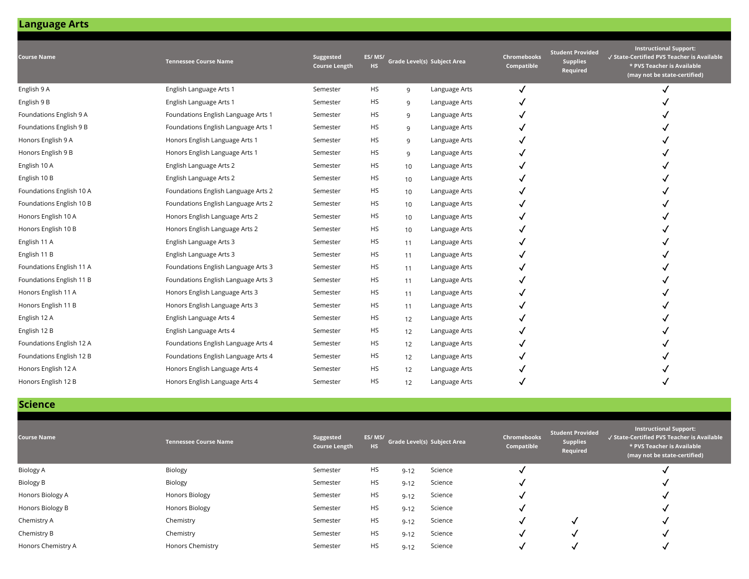| <b>Course Name</b>       | <b>Tennessee Course Name</b>        | Suggested<br><b>Course Length</b> | ES/MS/<br>HS. |    | Grade Level(s) Subject Area | <b>Chromebooks</b><br>Compatible | <b>Student Provided</b><br><b>Supplies</b><br>Required | <b>Instructional Support:</b><br>√ State-Certified PVS Teacher is Available<br>* PVS Teacher is Available<br>(may not be state-certified) |
|--------------------------|-------------------------------------|-----------------------------------|---------------|----|-----------------------------|----------------------------------|--------------------------------------------------------|-------------------------------------------------------------------------------------------------------------------------------------------|
| English 9 A              | English Language Arts 1             | Semester                          | <b>HS</b>     | 9  | Language Arts               | √                                |                                                        |                                                                                                                                           |
| English 9 B              | English Language Arts 1             | Semester                          | <b>HS</b>     | 9  | Language Arts               |                                  |                                                        |                                                                                                                                           |
| Foundations English 9 A  | Foundations English Language Arts 1 | Semester                          | НS            | 9  | Language Arts               |                                  |                                                        |                                                                                                                                           |
| Foundations English 9 B  | Foundations English Language Arts 1 | Semester                          | HS            | 9  | Language Arts               |                                  |                                                        |                                                                                                                                           |
| Honors English 9 A       | Honors English Language Arts 1      | Semester                          | <b>HS</b>     | 9  | Language Arts               |                                  |                                                        |                                                                                                                                           |
| Honors English 9 B       | Honors English Language Arts 1      | Semester                          | <b>HS</b>     | 9  | Language Arts               |                                  |                                                        |                                                                                                                                           |
| English 10 A             | English Language Arts 2             | Semester                          | <b>HS</b>     | 10 | Language Arts               |                                  |                                                        |                                                                                                                                           |
| English 10 B             | English Language Arts 2             | Semester                          | <b>HS</b>     | 10 | Language Arts               |                                  |                                                        |                                                                                                                                           |
| Foundations English 10 A | Foundations English Language Arts 2 | Semester                          | <b>HS</b>     | 10 | Language Arts               |                                  |                                                        |                                                                                                                                           |
| Foundations English 10 B | Foundations English Language Arts 2 | Semester                          | <b>HS</b>     | 10 | Language Arts               |                                  |                                                        |                                                                                                                                           |
| Honors English 10 A      | Honors English Language Arts 2      | Semester                          | <b>HS</b>     | 10 | Language Arts               |                                  |                                                        |                                                                                                                                           |
| Honors English 10 B      | Honors English Language Arts 2      | Semester                          | <b>HS</b>     | 10 | Language Arts               |                                  |                                                        |                                                                                                                                           |
| English 11 A             | English Language Arts 3             | Semester                          | <b>HS</b>     | 11 | Language Arts               |                                  |                                                        |                                                                                                                                           |
| English 11 B             | English Language Arts 3             | Semester                          | <b>HS</b>     | 11 | Language Arts               |                                  |                                                        |                                                                                                                                           |
| Foundations English 11 A | Foundations English Language Arts 3 | Semester                          | <b>HS</b>     | 11 | Language Arts               |                                  |                                                        |                                                                                                                                           |
| Foundations English 11 B | Foundations English Language Arts 3 | Semester                          | <b>HS</b>     | 11 | Language Arts               |                                  |                                                        |                                                                                                                                           |
| Honors English 11 A      | Honors English Language Arts 3      | Semester                          | <b>HS</b>     | 11 | Language Arts               |                                  |                                                        |                                                                                                                                           |
| Honors English 11 B      | Honors English Language Arts 3      | Semester                          | <b>HS</b>     | 11 | Language Arts               |                                  |                                                        |                                                                                                                                           |
| English 12 A             | English Language Arts 4             | Semester                          | <b>HS</b>     | 12 | Language Arts               |                                  |                                                        |                                                                                                                                           |
| English 12 B             | English Language Arts 4             | Semester                          | <b>HS</b>     | 12 | Language Arts               |                                  |                                                        |                                                                                                                                           |
| Foundations English 12 A | Foundations English Language Arts 4 | Semester                          | <b>HS</b>     | 12 | Language Arts               |                                  |                                                        |                                                                                                                                           |
| Foundations English 12 B | Foundations English Language Arts 4 | Semester                          | <b>HS</b>     | 12 | Language Arts               |                                  |                                                        |                                                                                                                                           |
| Honors English 12 A      | Honors English Language Arts 4      | Semester                          | <b>HS</b>     | 12 | Language Arts               |                                  |                                                        |                                                                                                                                           |
| Honors English 12 B      | Honors English Language Arts 4      | Semester                          | HS            | 12 | Language Arts               |                                  |                                                        |                                                                                                                                           |

### **Science**

| <b>Course Name</b> | <b>Tennessee Course Name</b> | Suggested<br><b>Course Length</b> | ES/MS/<br><b>HS</b> |          | Grade Level(s) Subject Area | <b>Chromebooks</b><br>Compatible | <b>Student Provided</b><br><b>Supplies</b><br>Required | <b>Instructional Support:</b><br>√ State-Certified PVS Teacher is Available<br>* PVS Teacher is Available<br>(may not be state-certified) |
|--------------------|------------------------------|-----------------------------------|---------------------|----------|-----------------------------|----------------------------------|--------------------------------------------------------|-------------------------------------------------------------------------------------------------------------------------------------------|
| <b>Biology A</b>   | Biology                      | Semester                          | <b>HS</b>           | $9 - 12$ | Science                     |                                  |                                                        |                                                                                                                                           |
| <b>Biology B</b>   | Biology                      | Semester                          | <b>HS</b>           | $9 - 12$ | Science                     |                                  |                                                        |                                                                                                                                           |
| Honors Biology A   | <b>Honors Biology</b>        | Semester                          | <b>HS</b>           | $9 - 12$ | Science                     |                                  |                                                        |                                                                                                                                           |
| Honors Biology B   | Honors Biology               | Semester                          | <b>HS</b>           | $9 - 12$ | Science                     |                                  |                                                        |                                                                                                                                           |
| Chemistry A        | Chemistry                    | Semester                          | <b>HS</b>           | $9 - 12$ | Science                     |                                  |                                                        |                                                                                                                                           |
| Chemistry B        | Chemistry                    | Semester                          | <b>HS</b>           | $9 - 12$ | Science                     |                                  |                                                        |                                                                                                                                           |
| Honors Chemistry A | Honors Chemistry             | Semester                          | <b>HS</b>           | $9 - 12$ | Science                     |                                  |                                                        |                                                                                                                                           |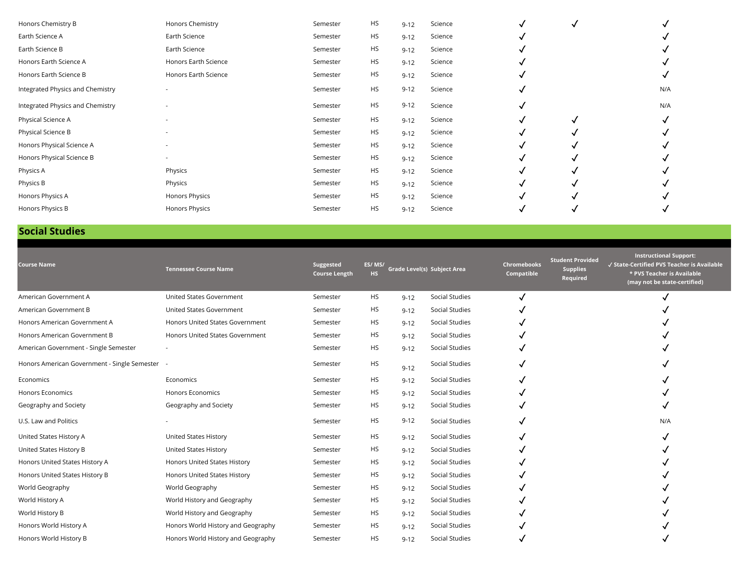| Honors Chemistry B               | Honors Chemistry         | Semester | <b>HS</b> | $9 - 12$ | Science |  |     |
|----------------------------------|--------------------------|----------|-----------|----------|---------|--|-----|
| Earth Science A                  | Earth Science            | Semester | <b>HS</b> | $9 - 12$ | Science |  |     |
| Earth Science B                  | Earth Science            | Semester | <b>HS</b> | $9 - 12$ | Science |  |     |
| Honors Earth Science A           | Honors Earth Science     | Semester | <b>HS</b> | $9 - 12$ | Science |  |     |
| Honors Earth Science B           | Honors Earth Science     | Semester | <b>HS</b> | $9 - 12$ | Science |  |     |
| Integrated Physics and Chemistry |                          | Semester | <b>HS</b> | $9 - 12$ | Science |  | N/A |
| Integrated Physics and Chemistry |                          | Semester | <b>HS</b> | $9 - 12$ | Science |  | N/A |
| Physical Science A               |                          | Semester | <b>HS</b> | $9 - 12$ | Science |  |     |
| Physical Science B               | $\overline{\phantom{a}}$ | Semester | <b>HS</b> | $9 - 12$ | Science |  |     |
| Honors Physical Science A        |                          | Semester | <b>HS</b> | $9 - 12$ | Science |  |     |
| Honors Physical Science B        | $\overline{\phantom{a}}$ | Semester | <b>HS</b> | $9 - 12$ | Science |  |     |
| Physics A                        | Physics                  | Semester | <b>HS</b> | $9 - 12$ | Science |  |     |
| Physics B                        | Physics                  | Semester | <b>HS</b> | $9 - 12$ | Science |  |     |
| Honors Physics A                 | <b>Honors Physics</b>    | Semester | <b>HS</b> | $9 - 12$ | Science |  |     |
| Honors Physics B                 | <b>Honors Physics</b>    | Semester | <b>HS</b> | $9 - 12$ | Science |  |     |

### **Social Studies**

| <b>Course Name</b>                             | <b>Tennessee Course Name</b>       | Suggested<br><b>Course Length</b> | ES/MS/<br><b>HS</b> |          | Grade Level(s) Subject Area | <b>Chromebooks</b><br>Compatible | <b>Student Provided</b><br><b>Supplies</b><br>Required | <b>Instructional Support:</b><br>√ State-Certified PVS Teacher is Available<br>* PVS Teacher is Available<br>(may not be state-certified) |
|------------------------------------------------|------------------------------------|-----------------------------------|---------------------|----------|-----------------------------|----------------------------------|--------------------------------------------------------|-------------------------------------------------------------------------------------------------------------------------------------------|
| American Government A                          | United States Government           | Semester                          | <b>HS</b>           | $9 - 12$ | Social Studies              |                                  |                                                        |                                                                                                                                           |
| American Government B                          | United States Government           | Semester                          | <b>HS</b>           | $9 - 12$ | Social Studies              |                                  |                                                        |                                                                                                                                           |
| Honors American Government A                   | Honors United States Government    | Semester                          | <b>HS</b>           | $9 - 12$ | Social Studies              |                                  |                                                        |                                                                                                                                           |
| Honors American Government B                   | Honors United States Government    | Semester                          | <b>HS</b>           | $9 - 12$ | Social Studies              |                                  |                                                        |                                                                                                                                           |
| American Government - Single Semester          |                                    | Semester                          | HS                  | $9 - 12$ | Social Studies              |                                  |                                                        |                                                                                                                                           |
| Honors American Government - Single Semester - |                                    | Semester                          | <b>HS</b>           | $9 - 12$ | Social Studies              |                                  |                                                        |                                                                                                                                           |
| Economics                                      | Economics                          | Semester                          | <b>HS</b>           | $9 - 12$ | Social Studies              |                                  |                                                        |                                                                                                                                           |
| <b>Honors Economics</b>                        | <b>Honors Economics</b>            | Semester                          | HS                  | $9 - 12$ | Social Studies              |                                  |                                                        |                                                                                                                                           |
| Geography and Society                          | Geography and Society              | Semester                          | HS                  | $9 - 12$ | Social Studies              |                                  |                                                        |                                                                                                                                           |
| U.S. Law and Politics                          |                                    | Semester                          | <b>HS</b>           | $9 - 12$ | Social Studies              |                                  |                                                        | N/A                                                                                                                                       |
| United States History A                        | United States History              | Semester                          | HS                  | $9 - 12$ | Social Studies              |                                  |                                                        |                                                                                                                                           |
| United States History B                        | United States History              | Semester                          | HS                  | $9 - 12$ | Social Studies              |                                  |                                                        |                                                                                                                                           |
| Honors United States History A                 | Honors United States History       | Semester                          | <b>HS</b>           | $9 - 12$ | Social Studies              |                                  |                                                        |                                                                                                                                           |
| Honors United States History B                 | Honors United States History       | Semester                          | <b>HS</b>           | $9 - 12$ | Social Studies              |                                  |                                                        |                                                                                                                                           |
| World Geography                                | World Geography                    | Semester                          | <b>HS</b>           | $9 - 12$ | Social Studies              |                                  |                                                        |                                                                                                                                           |
| World History A                                | World History and Geography        | Semester                          | <b>HS</b>           | $9 - 12$ | Social Studies              |                                  |                                                        |                                                                                                                                           |
| World History B                                | World History and Geography        | Semester                          | HS                  | $9 - 12$ | Social Studies              |                                  |                                                        |                                                                                                                                           |
| Honors World History A                         | Honors World History and Geography | Semester                          | <b>HS</b>           | $9 - 12$ | Social Studies              |                                  |                                                        |                                                                                                                                           |
| Honors World History B                         | Honors World History and Geography | Semester                          | <b>HS</b>           | $9 - 12$ | Social Studies              |                                  |                                                        |                                                                                                                                           |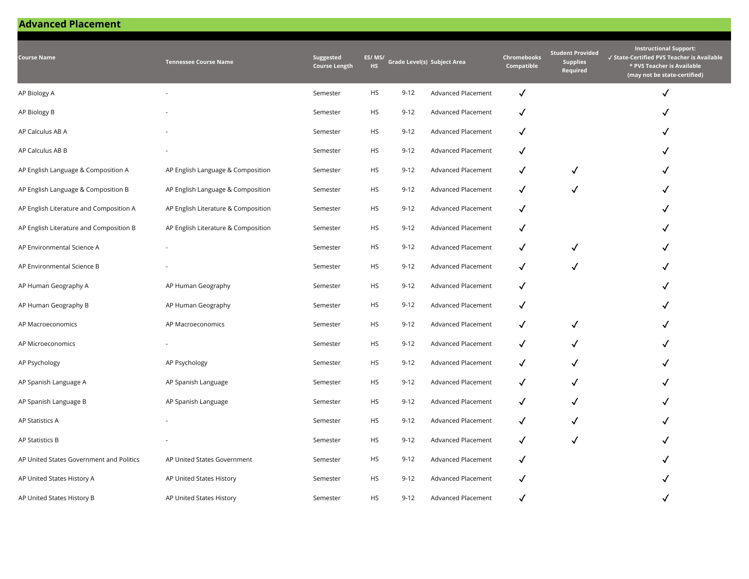## **Advanced Placement**

| <b>Course Name</b>                       | <b>Tennessee Course Name</b>        | Suggested<br><b>Course Length</b> | ES/MS/<br>HS. |          | Grade Level(s) Subject Area | Chromebooks<br>Compatible | <b>Student Provided</b><br><b>Supplies</b><br>Required | <b>Instructional Support:</b><br>√ State-Certified PVS Teacher is Available<br>* PVS Teacher is Available<br>(may not be state-certified) |
|------------------------------------------|-------------------------------------|-----------------------------------|---------------|----------|-----------------------------|---------------------------|--------------------------------------------------------|-------------------------------------------------------------------------------------------------------------------------------------------|
| AP Biology A                             |                                     | Semester                          | <b>HS</b>     | $9 - 12$ | <b>Advanced Placement</b>   | $\checkmark$              |                                                        | $\checkmark$                                                                                                                              |
| AP Biology B                             |                                     | Semester                          | HS            | $9 - 12$ | Advanced Placement          | ✓                         |                                                        |                                                                                                                                           |
| AP Calculus AB A                         |                                     | Semester                          | <b>HS</b>     | $9 - 12$ | <b>Advanced Placement</b>   | ✓                         |                                                        |                                                                                                                                           |
| AP Calculus AB B                         |                                     | Semester                          | HS            | $9 - 12$ | Advanced Placement          | $\checkmark$              |                                                        |                                                                                                                                           |
| AP English Language & Composition A      | AP English Language & Composition   | Semester                          | <b>HS</b>     | $9 - 12$ | Advanced Placement          | $\checkmark$              | $\checkmark$                                           | ✓                                                                                                                                         |
| AP English Language & Composition B      | AP English Language & Composition   | Semester                          | HS            | $9 - 12$ | Advanced Placement          | ✓                         | $\checkmark$                                           | ✓                                                                                                                                         |
| AP English Literature and Composition A  | AP English Literature & Composition | Semester                          | HS            | $9 - 12$ | Advanced Placement          | √                         |                                                        |                                                                                                                                           |
| AP English Literature and Composition B  | AP English Literature & Composition | Semester                          | <b>HS</b>     | $9 - 12$ | Advanced Placement          | ✓                         |                                                        | √                                                                                                                                         |
| AP Environmental Science A               |                                     | Semester                          | HS            | $9 - 12$ | Advanced Placement          | √                         | √                                                      |                                                                                                                                           |
| AP Environmental Science B               |                                     | Semester                          | <b>HS</b>     | $9 - 12$ | Advanced Placement          | ✓                         | $\checkmark$                                           | ✓                                                                                                                                         |
| AP Human Geography A                     | AP Human Geography                  | Semester                          | HS            | $9 - 12$ | Advanced Placement          | ✓                         |                                                        |                                                                                                                                           |
| AP Human Geography B                     | AP Human Geography                  | Semester                          | HS            | $9 - 12$ | Advanced Placement          | ✓                         |                                                        |                                                                                                                                           |
| AP Macroeconomics                        | AP Macroeconomics                   | Semester                          | HS            | $9 - 12$ | Advanced Placement          | $\checkmark$              | $\checkmark$                                           |                                                                                                                                           |
| AP Microeconomics                        |                                     | Semester                          | HS            | $9 - 12$ | Advanced Placement          | $\checkmark$              | $\checkmark$                                           | ✓                                                                                                                                         |
| AP Psychology                            | AP Psychology                       | Semester                          | HS            | $9 - 12$ | Advanced Placement          | $\checkmark$              | ✓                                                      | ✓                                                                                                                                         |
| AP Spanish Language A                    | AP Spanish Language                 | Semester                          | HS            | $9 - 12$ | Advanced Placement          | √                         | √                                                      |                                                                                                                                           |
| AP Spanish Language B                    | AP Spanish Language                 | Semester                          | HS            | $9 - 12$ | Advanced Placement          | ✓                         | ✓                                                      |                                                                                                                                           |
| AP Statistics A                          |                                     | Semester                          | HS            | $9 - 12$ | Advanced Placement          | ✓                         | √                                                      |                                                                                                                                           |
| AP Statistics B                          |                                     | Semester                          | <b>HS</b>     | $9 - 12$ | Advanced Placement          | √                         | $\checkmark$                                           | ✓                                                                                                                                         |
| AP United States Government and Politics | AP United States Government         | Semester                          | HS            | $9 - 12$ | <b>Advanced Placement</b>   | ✓                         |                                                        |                                                                                                                                           |
| AP United States History A               | AP United States History            | Semester                          | HS            | $9 - 12$ | Advanced Placement          | √                         |                                                        |                                                                                                                                           |
| AP United States History B               | AP United States History            | Semester                          | <b>HS</b>     | $9 - 12$ | Advanced Placement          | $\checkmark$              |                                                        |                                                                                                                                           |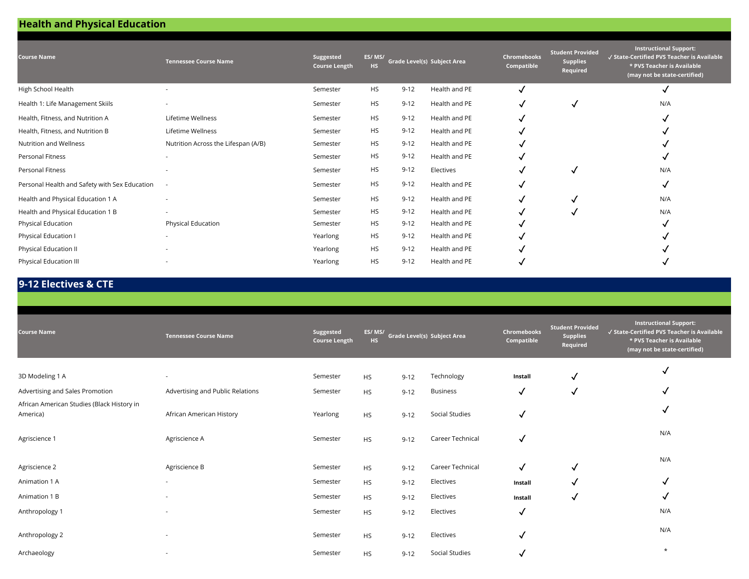# **Health and Physical Education**

| <b>Course Name</b>                            | <b>Tennessee Course Name</b>        | Suggested<br><b>Course Length</b> | ES/MS/<br><b>HS</b> |          | <b>Grade Level(s) Subject Area</b> | <b>Chromebooks</b><br>Compatible | <b>Student Provided</b><br><b>Supplies</b><br>Required | <b>Instructional Support:</b><br>√ State-Certified PVS Teacher is Available<br>* PVS Teacher is Available<br>(may not be state-certified) |
|-----------------------------------------------|-------------------------------------|-----------------------------------|---------------------|----------|------------------------------------|----------------------------------|--------------------------------------------------------|-------------------------------------------------------------------------------------------------------------------------------------------|
| High School Health                            |                                     | Semester                          | <b>HS</b>           | $9 - 12$ | Health and PE                      |                                  |                                                        |                                                                                                                                           |
| Health 1: Life Management Skiils              |                                     | Semester                          | <b>HS</b>           | $9 - 12$ | Health and PE                      |                                  | √                                                      | N/A                                                                                                                                       |
| Health, Fitness, and Nutrition A              | Lifetime Wellness                   | Semester                          | <b>HS</b>           | $9 - 12$ | Health and PE                      |                                  |                                                        |                                                                                                                                           |
| Health, Fitness, and Nutrition B              | Lifetime Wellness                   | Semester                          | <b>HS</b>           | $9 - 12$ | Health and PE                      |                                  |                                                        |                                                                                                                                           |
| Nutrition and Wellness                        | Nutrition Across the Lifespan (A/B) | Semester                          | <b>HS</b>           | $9 - 12$ | Health and PE                      |                                  |                                                        |                                                                                                                                           |
| Personal Fitness                              |                                     | Semester                          | <b>HS</b>           | $9 - 12$ | Health and PE                      |                                  |                                                        |                                                                                                                                           |
| Personal Fitness                              |                                     | Semester                          | <b>HS</b>           | $9 - 12$ | Electives                          |                                  | $\overline{\mathbf{v}}$                                | N/A                                                                                                                                       |
| Personal Health and Safety with Sex Education |                                     | Semester                          | <b>HS</b>           | $9 - 12$ | Health and PE                      |                                  |                                                        | √                                                                                                                                         |
| Health and Physical Education 1 A             | ٠                                   | Semester                          | <b>HS</b>           | $9 - 12$ | Health and PE                      |                                  | √                                                      | N/A                                                                                                                                       |
| Health and Physical Education 1 B             | $\overline{\phantom{a}}$            | Semester                          | <b>HS</b>           | $9 - 12$ | Health and PE                      |                                  |                                                        | N/A                                                                                                                                       |
| Physical Education                            | Physical Education                  | Semester                          | <b>HS</b>           | $9 - 12$ | Health and PE                      |                                  |                                                        | M                                                                                                                                         |
| Physical Education I                          | $\overline{\phantom{a}}$            | Yearlong                          | <b>HS</b>           | $9 - 12$ | Health and PE                      |                                  |                                                        |                                                                                                                                           |
| Physical Education II                         |                                     | Yearlong                          | <b>HS</b>           | $9 - 12$ | Health and PE                      |                                  |                                                        |                                                                                                                                           |
| Physical Education III                        |                                     | Yearlong                          | <b>HS</b>           | $9 - 12$ | Health and PE                      |                                  |                                                        |                                                                                                                                           |

## **9-12 Electives & CTE**

| <b>Course Name</b>                                     | <b>Tennessee Course Name</b>     | Suggested<br><b>Course Length</b> | ES/MS/<br>HS. |          | Grade Level(s) Subject Area | Chromebooks<br>Compatible | <b>Student Provided</b><br><b>Supplies</b><br>Required | <b>Instructional Support:</b><br>√ State-Certified PVS Teacher is Available<br>* PVS Teacher is Available<br>(may not be state-certified) |
|--------------------------------------------------------|----------------------------------|-----------------------------------|---------------|----------|-----------------------------|---------------------------|--------------------------------------------------------|-------------------------------------------------------------------------------------------------------------------------------------------|
| 3D Modeling 1 A                                        | $\sim$                           | Semester                          | <b>HS</b>     | $9 - 12$ | Technology                  | Install                   | √                                                      | √                                                                                                                                         |
| Advertising and Sales Promotion                        | Advertising and Public Relations | Semester                          | <b>HS</b>     | $9 - 12$ | <b>Business</b>             | √                         | √                                                      | √                                                                                                                                         |
| African American Studies (Black History in<br>America) | African American History         | Yearlong                          | <b>HS</b>     | $9 - 12$ | Social Studies              | ✓                         |                                                        | √                                                                                                                                         |
| Agriscience 1                                          | Agriscience A                    | Semester                          | <b>HS</b>     | $9 - 12$ | Career Technical            | $\checkmark$              |                                                        | N/A                                                                                                                                       |
| Agriscience 2                                          | Agriscience B                    | Semester                          | <b>HS</b>     | $9 - 12$ | Career Technical            | $\checkmark$              | √                                                      | N/A                                                                                                                                       |
| Animation 1 A                                          | $\sim$                           | Semester                          | <b>HS</b>     | $9 - 12$ | Electives                   | Install                   | √                                                      | √                                                                                                                                         |
| Animation 1 B                                          | $\overline{\phantom{a}}$         | Semester                          | <b>HS</b>     | $9 - 12$ | Electives                   | Install                   | √                                                      | √                                                                                                                                         |
| Anthropology 1                                         | $\sim$                           | Semester                          | <b>HS</b>     | $9 - 12$ | Electives                   | √                         |                                                        | N/A                                                                                                                                       |
| Anthropology 2                                         | $\sim$                           | Semester                          | <b>HS</b>     | $9 - 12$ | Electives                   | √                         |                                                        | N/A                                                                                                                                       |
| Archaeology                                            | $\overline{\phantom{a}}$         | Semester                          | <b>HS</b>     | $9 - 12$ | Social Studies              | √                         |                                                        | $\star$                                                                                                                                   |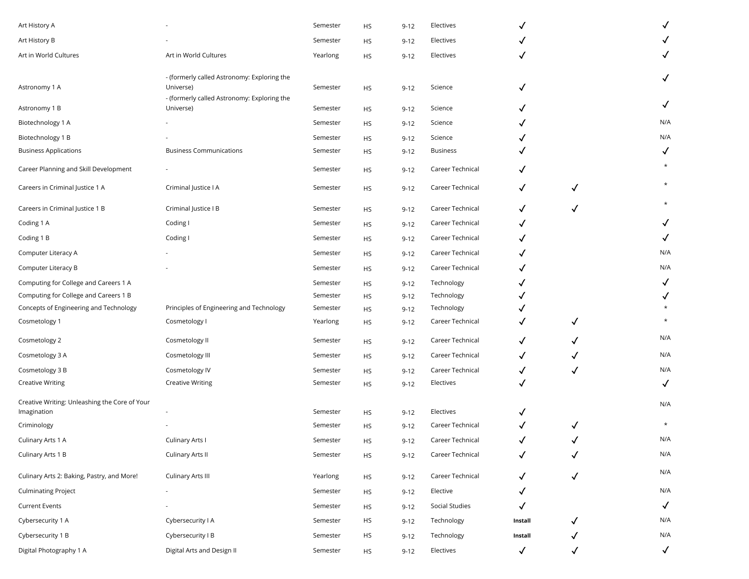| Art History A                                                |                                                          | Semester | HS        | $9 - 12$ | Electives        |              |              | ✓                       |
|--------------------------------------------------------------|----------------------------------------------------------|----------|-----------|----------|------------------|--------------|--------------|-------------------------|
| Art History B                                                |                                                          | Semester | <b>HS</b> | $9 - 12$ | Electives        |              |              |                         |
| Art in World Cultures                                        | Art in World Cultures                                    | Yearlong | <b>HS</b> | $9 - 12$ | Electives        | $\checkmark$ |              | $\checkmark$            |
| Astronomy 1 A                                                | - (formerly called Astronomy: Exploring the<br>Universe) | Semester | <b>HS</b> | $9 - 12$ | Science          | ✓            |              | $\checkmark$            |
| Astronomy 1 B                                                | - (formerly called Astronomy: Exploring the<br>Universe) | Semester | <b>HS</b> | $9 - 12$ | Science          |              |              | $\checkmark$            |
| Biotechnology 1 A                                            |                                                          | Semester | <b>HS</b> | $9 - 12$ | Science          | ✓            |              | N/A                     |
| Biotechnology 1 B                                            |                                                          | Semester | <b>HS</b> | $9 - 12$ | Science          |              |              | N/A                     |
| <b>Business Applications</b>                                 | <b>Business Communications</b>                           | Semester | <b>HS</b> | $9 - 12$ | <b>Business</b>  |              |              | $\checkmark$            |
| Career Planning and Skill Development                        |                                                          | Semester | <b>HS</b> | $9 - 12$ | Career Technical | ✓            |              |                         |
| Careers in Criminal Justice 1 A                              | Criminal Justice I A                                     | Semester | <b>HS</b> | $9 - 12$ | Career Technical | ✓            | √            | $\star$                 |
| Careers in Criminal Justice 1 B                              | Criminal Justice I B                                     | Semester | <b>HS</b> | $9 - 12$ | Career Technical | ✓            | $\checkmark$ | $^\ast$                 |
| Coding 1 A                                                   | Coding I                                                 | Semester | <b>HS</b> | $9 - 12$ | Career Technical | ✓            |              | $\checkmark$            |
| Coding 1 B                                                   | Coding I                                                 | Semester | <b>HS</b> | $9 - 12$ | Career Technical | $\checkmark$ |              | ✓                       |
| Computer Literacy A                                          |                                                          | Semester | <b>HS</b> | $9 - 12$ | Career Technical |              |              | N/A                     |
| Computer Literacy B                                          |                                                          | Semester | <b>HS</b> | $9 - 12$ | Career Technical | $\checkmark$ |              | N/A                     |
| Computing for College and Careers 1 A                        |                                                          | Semester | <b>HS</b> | $9 - 12$ | Technology       |              |              | $\checkmark$            |
| Computing for College and Careers 1 B                        |                                                          | Semester | <b>HS</b> | $9 - 12$ | Technology       |              |              | $\checkmark$            |
| Concepts of Engineering and Technology                       | Principles of Engineering and Technology                 | Semester | <b>HS</b> | $9 - 12$ | Technology       |              |              |                         |
| Cosmetology 1                                                | Cosmetology I                                            | Yearlong | <b>HS</b> | $9 - 12$ | Career Technical | ✓            | ✓            | $\star$                 |
| Cosmetology 2                                                | Cosmetology II                                           | Semester | <b>HS</b> | $9 - 12$ | Career Technical | ✓            | ✓            | N/A                     |
| Cosmetology 3 A                                              | Cosmetology III                                          | Semester | <b>HS</b> | $9 - 12$ | Career Technical | ✓            | ✓            | N/A                     |
| Cosmetology 3 B                                              | Cosmetology IV                                           | Semester | <b>HS</b> | $9 - 12$ | Career Technical | $\checkmark$ | $\checkmark$ | N/A                     |
| <b>Creative Writing</b>                                      | <b>Creative Writing</b>                                  | Semester | <b>HS</b> | $9 - 12$ | Electives        | ✓            |              | $\checkmark$            |
| Creative Writing: Unleashing the Core of Your<br>Imagination |                                                          | Semester | <b>HS</b> | $9 - 12$ | Electives        | √            |              | N/A                     |
| Criminology                                                  |                                                          | Semester | <b>HS</b> | $9 - 12$ | Career Technical |              |              | $\star$                 |
| Culinary Arts 1 A                                            | Culinary Arts I                                          | Semester | <b>HS</b> | $9 - 12$ | Career Technical |              |              | N/A                     |
| Culinary Arts 1 B                                            | Culinary Arts II                                         | Semester | <b>HS</b> | $9 - 12$ | Career Technical | $\checkmark$ | $\checkmark$ | $\mathsf{N}/\mathsf{A}$ |
| Culinary Arts 2: Baking, Pastry, and More!                   | Culinary Arts III                                        | Yearlong | <b>HS</b> | $9 - 12$ | Career Technical | ✓            | $\checkmark$ | N/A                     |
| <b>Culminating Project</b>                                   | $\overline{\phantom{a}}$                                 | Semester | HS        | $9 - 12$ | Elective         | ✓            |              | N/A                     |
| <b>Current Events</b>                                        |                                                          | Semester | <b>HS</b> | $9 - 12$ | Social Studies   | $\checkmark$ |              | $\checkmark$            |
| Cybersecurity 1 A                                            | Cybersecurity I A                                        | Semester | HS        | $9 - 12$ | Technology       | Install      | ✓            | N/A                     |
| Cybersecurity 1 B                                            | Cybersecurity I B                                        | Semester | HS        | $9 - 12$ | Technology       | Install      |              | N/A                     |
| Digital Photography 1 A                                      | Digital Arts and Design II                               | Semester | <b>HS</b> | $9 - 12$ | Electives        | $\checkmark$ | ✓            | $\checkmark$            |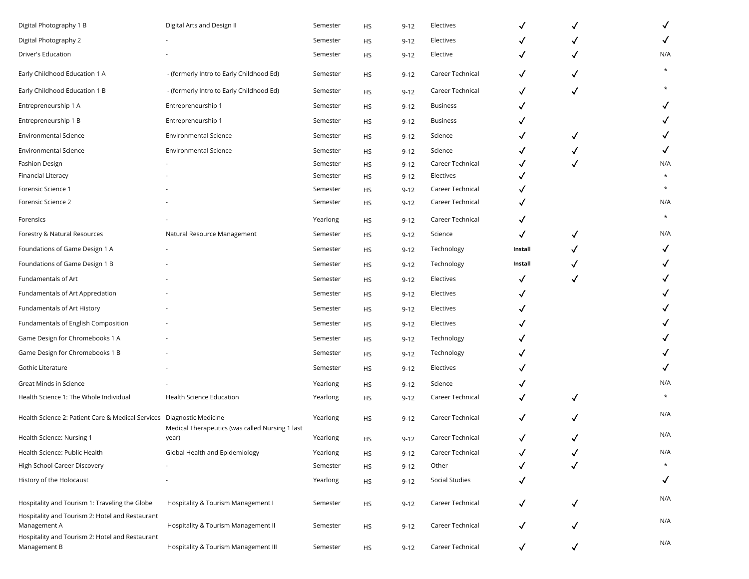| Digital Photography 1 B                                               | Digital Arts and Design II                      | Semester | HS        | $9 - 12$ | Electives        |              |              | $\checkmark$ |
|-----------------------------------------------------------------------|-------------------------------------------------|----------|-----------|----------|------------------|--------------|--------------|--------------|
| Digital Photography 2                                                 |                                                 | Semester | HS.       | $9 - 12$ | Electives        |              |              | $\checkmark$ |
| Driver's Education                                                    |                                                 | Semester | HS        | $9 - 12$ | Elective         | ✓            |              | N/A          |
| Early Childhood Education 1 A                                         | - (formerly Intro to Early Childhood Ed)        | Semester | HS        | $9 - 12$ | Career Technical | ✓            | ✓            | $\star$      |
| Early Childhood Education 1 B                                         | - (formerly Intro to Early Childhood Ed)        | Semester | HS        | $9 - 12$ | Career Technical | √            | $\checkmark$ |              |
| Entrepreneurship 1 A                                                  | Entrepreneurship 1                              | Semester | HS        | $9 - 12$ | <b>Business</b>  |              |              | $\checkmark$ |
| Entrepreneurship 1 B                                                  | Entrepreneurship 1                              | Semester | HS        | $9 - 12$ | <b>Business</b>  |              |              |              |
| <b>Environmental Science</b>                                          | <b>Environmental Science</b>                    | Semester | HS        | $9 - 12$ | Science          | ✓            | √            |              |
| <b>Environmental Science</b>                                          | <b>Environmental Science</b>                    | Semester | HS        | $9 - 12$ | Science          | ✓            |              | ✓            |
| <b>Fashion Design</b>                                                 |                                                 | Semester | HS        | $9 - 12$ | Career Technical |              |              | N/A          |
| Financial Literacy                                                    |                                                 | Semester | HS        | $9 - 12$ | Electives        |              |              | $\star$      |
| Forensic Science 1                                                    |                                                 | Semester | HS        | $9 - 12$ | Career Technical |              |              | $\star$      |
| Forensic Science 2                                                    |                                                 | Semester | HS        | $9 - 12$ | Career Technical |              |              | N/A          |
| Forensics                                                             |                                                 | Yearlong | HS        | $9 - 12$ | Career Technical |              |              | $\star$      |
| Forestry & Natural Resources                                          | Natural Resource Management                     | Semester | HS        | $9 - 12$ | Science          |              | √            | N/A          |
| Foundations of Game Design 1 A                                        |                                                 | Semester | HS        | $9 - 12$ | Technology       | Install      |              | ✓            |
| Foundations of Game Design 1 B                                        |                                                 | Semester | HS        | $9 - 12$ | Technology       | Install      |              | ✓            |
| Fundamentals of Art                                                   |                                                 | Semester | <b>HS</b> | $9 - 12$ | Electives        | ✓            |              |              |
| Fundamentals of Art Appreciation                                      |                                                 | Semester | HS        | $9 - 12$ | Electives        |              |              |              |
| Fundamentals of Art History                                           |                                                 | Semester | HS        | $9 - 12$ | Electives        |              |              |              |
| Fundamentals of English Composition                                   |                                                 | Semester | HS        | $9 - 12$ | Electives        |              |              |              |
| Game Design for Chromebooks 1 A                                       |                                                 | Semester | HS        | $9 - 12$ | Technology       |              |              |              |
| Game Design for Chromebooks 1 B                                       |                                                 | Semester | HS        | $9 - 12$ | Technology       |              |              |              |
| Gothic Literature                                                     |                                                 | Semester | HS        | $9 - 12$ | Electives        |              |              | ✓            |
| Great Minds in Science                                                |                                                 | Yearlong | HS        | $9 - 12$ | Science          |              |              | N/A          |
| Health Science 1: The Whole Individual                                | <b>Health Science Education</b>                 | Yearlong | HS        | $9 - 12$ | Career Technical |              | ✓            |              |
| Health Science 2: Patient Care & Medical Services Diagnostic Medicine | Medical Therapeutics (was called Nursing 1 last | Yearlong | HS        | $9 - 12$ | Career Technical |              |              | N/A          |
| Health Science: Nursing 1                                             | year)                                           | Yearlong | HS        | $9 - 12$ | Career Technical | √            |              | N/A          |
| Health Science: Public Health                                         | Global Health and Epidemiology                  | Yearlong | HS        | $9 - 12$ | Career Technical |              |              | N/A          |
| High School Career Discovery                                          |                                                 | Semester | HS        | $9 - 12$ | Other            |              |              | $\star$      |
| History of the Holocaust                                              |                                                 | Yearlong | HS        | $9 - 12$ | Social Studies   | √            |              | $\checkmark$ |
| Hospitality and Tourism 1: Traveling the Globe                        | Hospitality & Tourism Management I              | Semester | HS        | $9 - 12$ | Career Technical | ✓            | ✓            | N/A          |
| Hospitality and Tourism 2: Hotel and Restaurant<br>Management A       | Hospitality & Tourism Management II             | Semester | HS        | $9 - 12$ | Career Technical | ✓            |              | N/A          |
| Hospitality and Tourism 2: Hotel and Restaurant<br>Management B       | Hospitality & Tourism Management III            | Semester | HS        | $9 - 12$ | Career Technical | $\checkmark$ | ✓            | N/A          |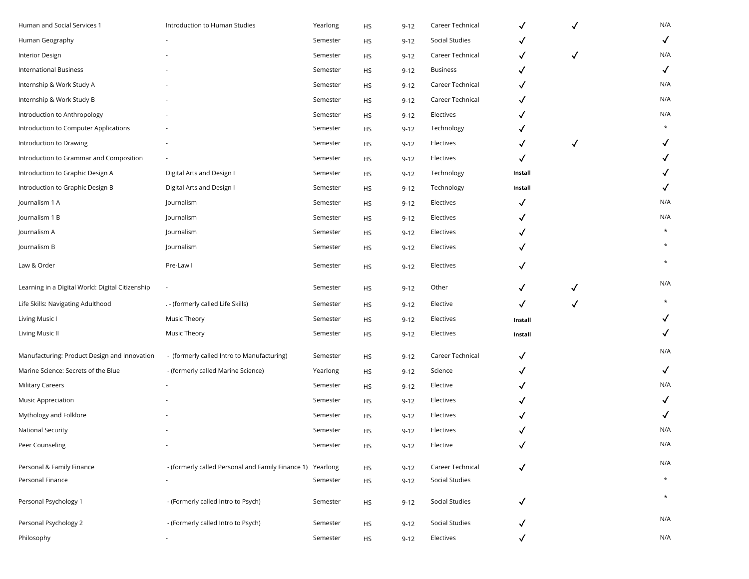| Human and Social Services 1                      | Introduction to Human Studies                              | Yearlong | HS        | $9 - 12$ | Career Technical |              | $\checkmark$ | N/A          |
|--------------------------------------------------|------------------------------------------------------------|----------|-----------|----------|------------------|--------------|--------------|--------------|
| Human Geography                                  |                                                            | Semester | HS        | $9 - 12$ | Social Studies   |              |              | $\checkmark$ |
| Interior Design                                  |                                                            | Semester | HS        | $9 - 12$ | Career Technical | ✓            | √            | N/A          |
| <b>International Business</b>                    |                                                            | Semester | HS        | $9 - 12$ | <b>Business</b>  |              |              | $\checkmark$ |
| Internship & Work Study A                        |                                                            | Semester | HS        | $9 - 12$ | Career Technical |              |              | N/A          |
| Internship & Work Study B                        |                                                            | Semester | HS        | $9 - 12$ | Career Technical | ✓            |              | N/A          |
| Introduction to Anthropology                     |                                                            | Semester | HS        | $9 - 12$ | Electives        |              |              | N/A          |
| Introduction to Computer Applications            |                                                            | Semester | НS        | $9 - 12$ | Technology       |              |              |              |
| Introduction to Drawing                          |                                                            | Semester | HS        | $9 - 12$ | Electives        |              | $\checkmark$ |              |
| Introduction to Grammar and Composition          |                                                            | Semester | HS        | $9 - 12$ | Electives        | ✓            |              |              |
| Introduction to Graphic Design A                 | Digital Arts and Design I                                  | Semester | HS        | $9 - 12$ | Technology       | Install      |              |              |
| Introduction to Graphic Design B                 | Digital Arts and Design I                                  | Semester | HS        | $9 - 12$ | Technology       | Install      |              | ✓            |
| Journalism 1 A                                   | Journalism                                                 | Semester | HS        | $9 - 12$ | Electives        | ✓            |              | N/A          |
| Journalism 1 B                                   | Journalism                                                 | Semester | HS        | $9 - 12$ | Electives        |              |              | N/A          |
| Journalism A                                     | Journalism                                                 | Semester | HS        | $9 - 12$ | Electives        |              |              |              |
| Journalism B                                     | Journalism                                                 | Semester | <b>HS</b> | $9 - 12$ | Electives        |              |              |              |
| Law & Order                                      | Pre-Law I                                                  | Semester | HS        | $9 - 12$ | Electives        | ✓            |              |              |
| Learning in a Digital World: Digital Citizenship |                                                            | Semester | HS        | $9 - 12$ | Other            | ✓            |              | N/A          |
| Life Skills: Navigating Adulthood                | . - (formerly called Life Skills)                          | Semester | <b>HS</b> | $9 - 12$ | Elective         | ✓            | $\checkmark$ |              |
| Living Music I                                   | Music Theory                                               | Semester | HS        | $9 - 12$ | Electives        | Install      |              | ✓            |
| Living Music II                                  | Music Theory                                               | Semester | HS        | $9 - 12$ | Electives        | Install      |              | $\checkmark$ |
| Manufacturing: Product Design and Innovation     | - (formerly called Intro to Manufacturing)                 | Semester | HS        | $9 - 12$ | Career Technical | ✓            |              | N/A          |
| Marine Science: Secrets of the Blue              | - (formerly called Marine Science)                         | Yearlong | НS        | $9 - 12$ | Science          |              |              | $\checkmark$ |
| Military Careers                                 |                                                            | Semester | HS        | $9 - 12$ | Elective         |              |              | N/A          |
| Music Appreciation                               |                                                            | Semester | HS        | $9 - 12$ | Electives        |              |              | ✓            |
| Mythology and Folklore                           |                                                            | Semester | HS        | $9 - 12$ | Electives        |              |              | ✓            |
| National Security                                |                                                            | Semester | <b>HS</b> | $9 - 12$ | Electives        |              |              | N/A          |
| Peer Counseling                                  |                                                            | Semester | HS        | $9 - 12$ | Elective         |              |              | N/A          |
| Personal & Family Finance                        | - (formerly called Personal and Family Finance 1) Yearlong |          | <b>HS</b> | $9 - 12$ | Career Technical | $\checkmark$ |              | N/A          |
| Personal Finance                                 |                                                            | Semester | <b>HS</b> | $9 - 12$ | Social Studies   |              |              | $\star$      |
| Personal Psychology 1                            | - (Formerly called Intro to Psych)                         | Semester | HS        | $9 - 12$ | Social Studies   | $\checkmark$ |              | $\star$      |
| Personal Psychology 2                            | - (Formerly called Intro to Psych)                         | Semester | <b>HS</b> | $9 - 12$ | Social Studies   | √            |              | N/A          |
| Philosophy                                       |                                                            | Semester | <b>HS</b> | $9 - 12$ | Electives        | √            |              | N/A          |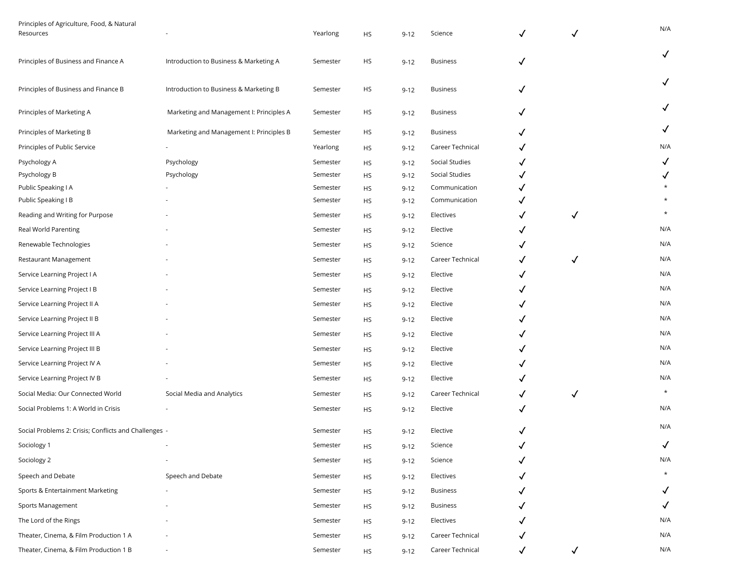| Principles of Agriculture, Food, & Natural<br>Resources |                                          | Yearlong | HS        | $9 - 12$ | Science          | ✓            | ✓            | N/A          |
|---------------------------------------------------------|------------------------------------------|----------|-----------|----------|------------------|--------------|--------------|--------------|
| Principles of Business and Finance A                    | Introduction to Business & Marketing A   | Semester | HS        | $9 - 12$ | <b>Business</b>  | ✓            |              | $\checkmark$ |
| Principles of Business and Finance B                    | Introduction to Business & Marketing B   | Semester | HS        | $9 - 12$ | <b>Business</b>  | $\checkmark$ |              | $\checkmark$ |
| Principles of Marketing A                               | Marketing and Management I: Principles A | Semester | HS        | $9 - 12$ | <b>Business</b>  | ✓            |              | $\checkmark$ |
| Principles of Marketing B                               | Marketing and Management I: Principles B | Semester | HS        | $9 - 12$ | <b>Business</b>  | ✓            |              | ✓            |
| Principles of Public Service                            |                                          | Yearlong | HS        | $9 - 12$ | Career Technical | ✓            |              | N/A          |
| Psychology A                                            | Psychology                               | Semester | HS        | $9 - 12$ | Social Studies   | ✓            |              | $\checkmark$ |
| Psychology B                                            | Psychology                               | Semester | HS        | $9 - 12$ | Social Studies   |              |              | $\checkmark$ |
| Public Speaking I A                                     |                                          | Semester | HS        | $9 - 12$ | Communication    |              |              |              |
| Public Speaking I B                                     |                                          | Semester | HS        | $9 - 12$ | Communication    |              |              |              |
| Reading and Writing for Purpose                         |                                          | Semester | HS        | $9 - 12$ | Electives        | ✓            | $\checkmark$ | $\star$      |
| Real World Parenting                                    |                                          | Semester | HS        | $9 - 12$ | Elective         | ✓            |              | N/A          |
| Renewable Technologies                                  |                                          | Semester | HS        | $9 - 12$ | Science          | ✓            |              | N/A          |
| Restaurant Management                                   |                                          | Semester | HS        | $9 - 12$ | Career Technical | ✓            | $\checkmark$ | N/A          |
| Service Learning Project I A                            |                                          | Semester | HS        | $9 - 12$ | Elective         | ✓            |              | N/A          |
| Service Learning Project I B                            |                                          | Semester | HS        | $9 - 12$ | Elective         | $\checkmark$ |              | N/A          |
| Service Learning Project II A                           |                                          | Semester | HS        | $9 - 12$ | Elective         | ✓            |              | N/A          |
| Service Learning Project II B                           |                                          | Semester | HS        | $9 - 12$ | Elective         |              |              | N/A          |
| Service Learning Project III A                          |                                          | Semester | HS        | $9 - 12$ | Elective         |              |              | N/A          |
| Service Learning Project III B                          |                                          | Semester | <b>HS</b> | $9 - 12$ | Elective         | √            |              | N/A          |
| Service Learning Project IV A                           |                                          | Semester | HS        | $9 - 12$ | Elective         | ✓            |              | N/A          |
| Service Learning Project IV B                           |                                          | Semester | HS        | $9 - 12$ | Elective         | ✓            |              | N/A          |
| Social Media: Our Connected World                       | Social Media and Analytics               | Semester | <b>HS</b> | $9 - 12$ | Career Technical | ✓            | $\checkmark$ | $\star$      |
| Social Problems 1: A World in Crisis                    |                                          | Semester | HS        | $9 - 12$ | Elective         | ✓            |              | N/A          |
| Social Problems 2: Crisis; Conflicts and Challenges -   |                                          | Semester | HS.       | $9 - 12$ | Elective         | $\checkmark$ |              | N/A          |
| Sociology 1                                             |                                          | Semester | <b>HS</b> | $9 - 12$ | Science          |              |              | $\checkmark$ |
| Sociology 2                                             |                                          | Semester | HS        | $9 - 12$ | Science          |              |              | N/A          |
| Speech and Debate                                       | Speech and Debate                        | Semester | <b>HS</b> | $9 - 12$ | Electives        |              |              |              |
| Sports & Entertainment Marketing                        |                                          | Semester | HS        | $9 - 12$ | <b>Business</b>  |              |              | $\checkmark$ |
| Sports Management                                       |                                          | Semester | HS        | $9 - 12$ | <b>Business</b>  |              |              | $\checkmark$ |
| The Lord of the Rings                                   |                                          | Semester | HS        | $9 - 12$ | Electives        |              |              | N/A          |
| Theater, Cinema, & Film Production 1 A                  |                                          | Semester | HS        | $9 - 12$ | Career Technical |              |              | N/A          |
| Theater, Cinema, & Film Production 1 B                  |                                          | Semester | <b>HS</b> | $9 - 12$ | Career Technical | $\checkmark$ | $\checkmark$ | N/A          |
|                                                         |                                          |          |           |          |                  |              |              |              |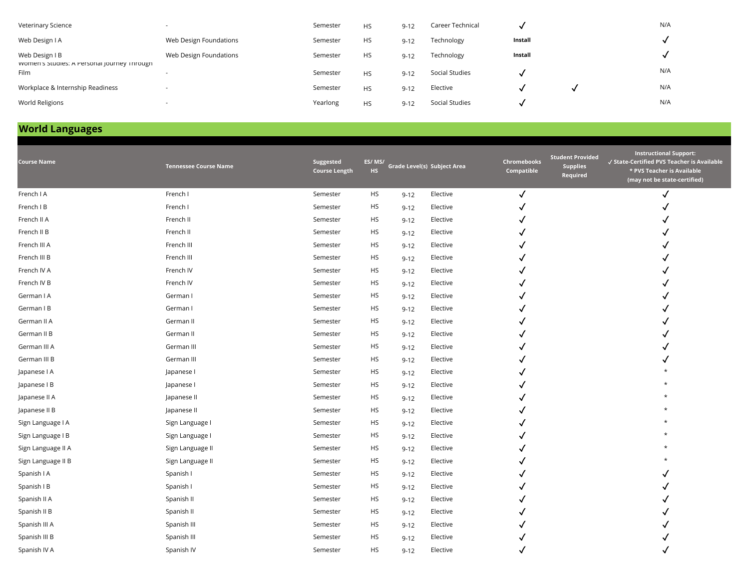| Veterinary Science                                            |                        | Semester | <b>HS</b> | $9 - 12$ | Career Technical |         | N/A |
|---------------------------------------------------------------|------------------------|----------|-----------|----------|------------------|---------|-----|
| Web Design I A                                                | Web Design Foundations | Semester | <b>HS</b> | $9 - 12$ | Technology       | Install |     |
| Web Design I B<br>women's Studies: A Personal Journey Inrough | Web Design Foundations | Semester | <b>HS</b> | $9 - 12$ | Technology       | Install |     |
| Film                                                          |                        | Semester | <b>HS</b> | $9 - 12$ | Social Studies   |         | N/A |
| Workplace & Internship Readiness                              |                        | Semester | <b>HS</b> | $9 - 12$ | Elective         |         | N/A |
| World Religions                                               |                        | Yearlong | HS        | $9 - 12$ | Social Studies   |         | N/A |

# **World Languages**

| <b>Course Name</b> | <b>Tennessee Course Name</b> | Suggested<br><b>Course Length</b> | ES/MS/<br><b>HS</b> |          | Grade Level(s) Subject Area | Chromebooks<br>Compatible | <b>Student Provided</b><br><b>Supplies</b><br>Required | <b>Instructional Support:</b><br>√ State-Certified PVS Teacher is Available<br>* PVS Teacher is Available<br>(may not be state-certified) |
|--------------------|------------------------------|-----------------------------------|---------------------|----------|-----------------------------|---------------------------|--------------------------------------------------------|-------------------------------------------------------------------------------------------------------------------------------------------|
| French I A         | French I                     | Semester                          | <b>HS</b>           | $9 - 12$ | Elective                    | √                         |                                                        | √                                                                                                                                         |
| French I B         | French I                     | Semester                          | <b>HS</b>           | $9 - 12$ | Elective                    |                           |                                                        |                                                                                                                                           |
| French II A        | French II                    | Semester                          | <b>HS</b>           | $9 - 12$ | Elective                    |                           |                                                        |                                                                                                                                           |
| French II B        | French II                    | Semester                          | <b>HS</b>           | $9 - 12$ | Elective                    |                           |                                                        |                                                                                                                                           |
| French III A       | French III                   | Semester                          | <b>HS</b>           | $9 - 12$ | Elective                    |                           |                                                        |                                                                                                                                           |
| French III B       | French III                   | Semester                          | <b>HS</b>           | $9 - 12$ | Elective                    |                           |                                                        |                                                                                                                                           |
| French IV A        | French IV                    | Semester                          | HS                  | $9 - 12$ | Elective                    |                           |                                                        |                                                                                                                                           |
| French IV B        | French IV                    | Semester                          | <b>HS</b>           | $9 - 12$ | Elective                    |                           |                                                        |                                                                                                                                           |
| German I A         | German I                     | Semester                          | <b>HS</b>           | $9 - 12$ | Elective                    |                           |                                                        |                                                                                                                                           |
| German I B         | German I                     | Semester                          | <b>HS</b>           | $9 - 12$ | Elective                    |                           |                                                        |                                                                                                                                           |
| German II A        | German II                    | Semester                          | <b>HS</b>           | $9 - 12$ | Elective                    |                           |                                                        |                                                                                                                                           |
| German II B        | German II                    | Semester                          | <b>HS</b>           | $9 - 12$ | Elective                    |                           |                                                        |                                                                                                                                           |
| German III A       | German III                   | Semester                          | <b>HS</b>           | $9 - 12$ | Elective                    |                           |                                                        |                                                                                                                                           |
| German III B       | German III                   | Semester                          | <b>HS</b>           | $9 - 12$ | Elective                    |                           |                                                        |                                                                                                                                           |
| Japanese I A       | Japanese I                   | Semester                          | <b>HS</b>           | $9 - 12$ | Elective                    |                           |                                                        |                                                                                                                                           |
| Japanese I B       | Japanese I                   | Semester                          | <b>HS</b>           | $9 - 12$ | Elective                    |                           |                                                        |                                                                                                                                           |
| Japanese II A      | Japanese II                  | Semester                          | <b>HS</b>           | $9 - 12$ | Elective                    |                           |                                                        |                                                                                                                                           |
| Japanese II B      | Japanese II                  | Semester                          | <b>HS</b>           | $9 - 12$ | Elective                    |                           |                                                        |                                                                                                                                           |
| Sign Language I A  | Sign Language I              | Semester                          | <b>HS</b>           | $9 - 12$ | Elective                    |                           |                                                        |                                                                                                                                           |
| Sign Language I B  | Sign Language I              | Semester                          | <b>HS</b>           | $9 - 12$ | Elective                    |                           |                                                        |                                                                                                                                           |
| Sign Language II A | Sign Language II             | Semester                          | <b>HS</b>           | $9 - 12$ | Elective                    |                           |                                                        |                                                                                                                                           |
| Sign Language II B | Sign Language II             | Semester                          | <b>HS</b>           | $9 - 12$ | Elective                    |                           |                                                        |                                                                                                                                           |
| Spanish I A        | Spanish I                    | Semester                          | <b>HS</b>           | $9 - 12$ | Elective                    |                           |                                                        |                                                                                                                                           |
| Spanish I B        | Spanish I                    | Semester                          | <b>HS</b>           | $9 - 12$ | Elective                    |                           |                                                        |                                                                                                                                           |
| Spanish II A       | Spanish II                   | Semester                          | <b>HS</b>           | $9 - 12$ | Elective                    |                           |                                                        |                                                                                                                                           |
| Spanish II B       | Spanish II                   | Semester                          | <b>HS</b>           | $9 - 12$ | Elective                    |                           |                                                        |                                                                                                                                           |
| Spanish III A      | Spanish III                  | Semester                          | <b>HS</b>           | $9 - 12$ | Elective                    |                           |                                                        |                                                                                                                                           |
| Spanish III B      | Spanish III                  | Semester                          | <b>HS</b>           | $9 - 12$ | Elective                    |                           |                                                        |                                                                                                                                           |
| Spanish IV A       | Spanish IV                   | Semester                          | <b>HS</b>           | $9 - 12$ | Elective                    |                           |                                                        |                                                                                                                                           |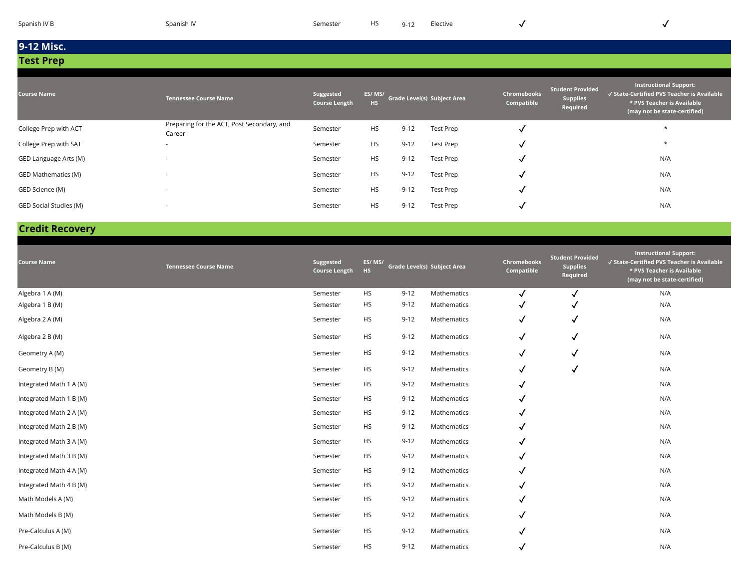| Spanish IV B |  |  |
|--------------|--|--|
|              |  |  |
|              |  |  |
|              |  |  |

| <b>Course Name</b>         | <b>Tennessee Course Name</b>                         | Suggested<br><b>Course Length</b> | ES/MS/<br>HS. |          | Grade Level(s) Subject Area | <b>Chromebooks</b><br>Compatible | <b>Student Provided</b><br><b>Supplies</b><br>Required | <b>Instructional Support:</b><br>√ State-Certified PVS Teacher is Available<br>* PVS Teacher is Available<br>(may not be state-certified) |
|----------------------------|------------------------------------------------------|-----------------------------------|---------------|----------|-----------------------------|----------------------------------|--------------------------------------------------------|-------------------------------------------------------------------------------------------------------------------------------------------|
| College Prep with ACT      | Preparing for the ACT, Post Secondary, and<br>Career | Semester                          | <b>HS</b>     | $9 - 12$ | Test Prep                   | M                                |                                                        | $\star$                                                                                                                                   |
| College Prep with SAT      | $\overline{\phantom{a}}$                             | Semester                          | <b>HS</b>     | $9 - 12$ | Test Prep                   | N                                |                                                        | $\star$                                                                                                                                   |
| GED Language Arts (M)      | $\overline{\phantom{a}}$                             | Semester                          | <b>HS</b>     | $9 - 12$ | Test Prep                   | N                                |                                                        | N/A                                                                                                                                       |
| <b>GED Mathematics (M)</b> | $\overline{\phantom{a}}$                             | Semester                          | <b>HS</b>     | $9 - 12$ | Test Prep                   | M                                |                                                        | N/A                                                                                                                                       |
| GED Science (M)            | $\overline{\phantom{a}}$                             | Semester                          | <b>HS</b>     | $9 - 12$ | Test Prep                   | N                                |                                                        | N/A                                                                                                                                       |
| GED Social Studies (M)     | $\overline{\phantom{a}}$                             | Semester                          | <b>HS</b>     | $9 - 12$ | Test Prep                   | $\ddot{\phantom{0}}$             |                                                        | N/A                                                                                                                                       |

### **Credit Recovery**

| <b>Course Name</b>      | <b>Tennessee Course Name</b> | Suggested<br><b>Course Length</b> | ES/MS/<br><b>HS</b> |          | Grade Level(s) Subject Area | <b>Chromebooks</b><br>Compatible | <b>Student Provided</b><br><b>Supplies</b><br>Required | <b>Instructional Support:</b><br>√ State-Certified PVS Teacher is Available<br>* PVS Teacher is Available<br>(may not be state-certified) |
|-------------------------|------------------------------|-----------------------------------|---------------------|----------|-----------------------------|----------------------------------|--------------------------------------------------------|-------------------------------------------------------------------------------------------------------------------------------------------|
| Algebra 1 A (M)         |                              | Semester                          | <b>HS</b>           | $9 - 12$ | Mathematics                 | $\checkmark$                     | $\checkmark$                                           | N/A                                                                                                                                       |
| Algebra 1 B (M)         |                              | Semester                          | <b>HS</b>           | $9 - 12$ | Mathematics                 | v                                | v                                                      | N/A                                                                                                                                       |
| Algebra 2 A (M)         |                              | Semester                          | <b>HS</b>           | $9 - 12$ | Mathematics                 | √                                | v                                                      | N/A                                                                                                                                       |
| Algebra 2 B (M)         |                              | Semester                          | <b>HS</b>           | $9 - 12$ | Mathematics                 | $\checkmark$                     | √                                                      | N/A                                                                                                                                       |
| Geometry A (M)          |                              | Semester                          | <b>HS</b>           | $9 - 12$ | Mathematics                 | ✓                                | $\checkmark$                                           | N/A                                                                                                                                       |
| Geometry B (M)          |                              | Semester                          | <b>HS</b>           | $9 - 12$ | Mathematics                 | $\checkmark$                     | $\checkmark$                                           | N/A                                                                                                                                       |
| Integrated Math 1 A (M) |                              | Semester                          | <b>HS</b>           | $9 - 12$ | Mathematics                 | √                                |                                                        | N/A                                                                                                                                       |
| Integrated Math 1 B (M) |                              | Semester                          | <b>HS</b>           | $9 - 12$ | Mathematics                 | √                                |                                                        | N/A                                                                                                                                       |
| Integrated Math 2 A (M) |                              | Semester                          | <b>HS</b>           | $9 - 12$ | Mathematics                 | √                                |                                                        | N/A                                                                                                                                       |
| Integrated Math 2 B (M) |                              | Semester                          | <b>HS</b>           | $9 - 12$ | Mathematics                 | √                                |                                                        | N/A                                                                                                                                       |
| Integrated Math 3 A (M) |                              | Semester                          | <b>HS</b>           | $9 - 12$ | Mathematics                 | √                                |                                                        | N/A                                                                                                                                       |
| Integrated Math 3 B (M) |                              | Semester                          | <b>HS</b>           | $9 - 12$ | Mathematics                 | √                                |                                                        | N/A                                                                                                                                       |
| Integrated Math 4 A (M) |                              | Semester                          | <b>HS</b>           | $9 - 12$ | Mathematics                 |                                  |                                                        | N/A                                                                                                                                       |
| Integrated Math 4 B (M) |                              | Semester                          | <b>HS</b>           | $9 - 12$ | Mathematics                 | √                                |                                                        | N/A                                                                                                                                       |
| Math Models A (M)       |                              | Semester                          | <b>HS</b>           | $9 - 12$ | Mathematics                 | √                                |                                                        | N/A                                                                                                                                       |
| Math Models B (M)       |                              | Semester                          | <b>HS</b>           | $9 - 12$ | Mathematics                 | √                                |                                                        | N/A                                                                                                                                       |
| Pre-Calculus A (M)      |                              | Semester                          | <b>HS</b>           | $9 - 12$ | Mathematics                 | √                                |                                                        | N/A                                                                                                                                       |
| Pre-Calculus B (M)      |                              | Semester                          | <b>HS</b>           | $9 - 12$ | Mathematics                 | √                                |                                                        | N/A                                                                                                                                       |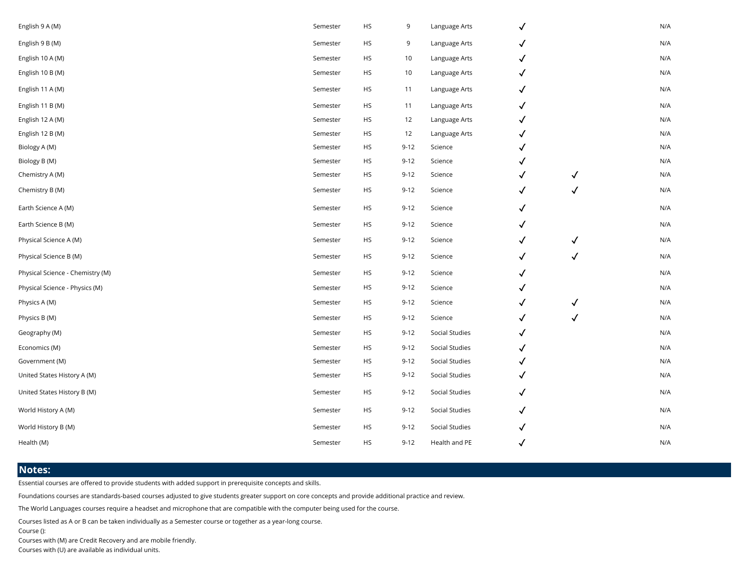| English 9 A (M)                  | Semester | <b>HS</b> | 9        | Language Arts  | $\checkmark$ |              | N/A |
|----------------------------------|----------|-----------|----------|----------------|--------------|--------------|-----|
| English 9 B (M)                  | Semester | <b>HS</b> | 9        | Language Arts  | $\checkmark$ |              | N/A |
| English 10 A (M)                 | Semester | HS        | 10       | Language Arts  | $\checkmark$ |              | N/A |
| English 10 B (M)                 | Semester | HS        | 10       | Language Arts  | $\checkmark$ |              | N/A |
| English 11 A (M)                 | Semester | <b>HS</b> | 11       | Language Arts  | $\checkmark$ |              | N/A |
| English 11 B (M)                 | Semester | <b>HS</b> | 11       | Language Arts  | $\checkmark$ |              | N/A |
| English 12 A (M)                 | Semester | HS        | 12       | Language Arts  | $\checkmark$ |              | N/A |
| English 12 B (M)                 | Semester | <b>HS</b> | 12       | Language Arts  | $\checkmark$ |              | N/A |
| Biology A (M)                    | Semester | <b>HS</b> | $9 - 12$ | Science        | $\checkmark$ |              | N/A |
| Biology B (M)                    | Semester | HS        | $9 - 12$ | Science        | ✓            |              | N/A |
| Chemistry A (M)                  | Semester | HS        | $9 - 12$ | Science        | $\checkmark$ | $\checkmark$ | N/A |
| Chemistry B (M)                  | Semester | <b>HS</b> | $9 - 12$ | Science        | $\checkmark$ | √            | N/A |
| Earth Science A (M)              | Semester | <b>HS</b> | $9 - 12$ | Science        | $\checkmark$ |              | N/A |
| Earth Science B (M)              | Semester | HS        | $9 - 12$ | Science        | $\checkmark$ |              | N/A |
| Physical Science A (M)           | Semester | <b>HS</b> | $9 - 12$ | Science        | $\checkmark$ | $\checkmark$ | N/A |
| Physical Science B (M)           | Semester | HS        | $9 - 12$ | Science        | $\checkmark$ | $\checkmark$ | N/A |
| Physical Science - Chemistry (M) | Semester | HS        | $9 - 12$ | Science        | $\checkmark$ |              | N/A |
| Physical Science - Physics (M)   | Semester | <b>HS</b> | $9 - 12$ | Science        | $\checkmark$ |              | N/A |
| Physics A (M)                    | Semester | <b>HS</b> | $9 - 12$ | Science        | $\checkmark$ | $\checkmark$ | N/A |
| Physics B (M)                    | Semester | HS        | $9 - 12$ | Science        | $\checkmark$ | $\checkmark$ | N/A |
| Geography (M)                    | Semester | <b>HS</b> | $9 - 12$ | Social Studies | ✓            |              | N/A |
| Economics (M)                    | Semester | <b>HS</b> | $9 - 12$ | Social Studies | $\checkmark$ |              | N/A |
| Government (M)                   | Semester | <b>HS</b> | $9 - 12$ | Social Studies | ✓            |              | N/A |
| United States History A (M)      | Semester | HS        | $9 - 12$ | Social Studies | $\checkmark$ |              | N/A |
| United States History B (M)      | Semester | <b>HS</b> | $9 - 12$ | Social Studies | $\checkmark$ |              | N/A |
| World History A (M)              | Semester | HS        | $9 - 12$ | Social Studies | $\checkmark$ |              | N/A |
| World History B (M)              | Semester | HS        | $9 - 12$ | Social Studies | $\checkmark$ |              | N/A |
| Health (M)                       | Semester | HS        | $9 - 12$ | Health and PE  | $\checkmark$ |              | N/A |
|                                  |          |           |          |                |              |              |     |

#### **Notes:**

Essential courses are offered to provide students with added support in prerequisite concepts and skills.

Foundations courses are standards-based courses adjusted to give students greater support on core concepts and provide additional practice and review.

The World Languages courses require a headset and microphone that are compatible with the computer being used for the course.

Courses listed as A or B can be taken individually as a Semester course or together as a year-long course.

Course ():

Courses with (M) are Credit Recovery and are mobile friendly.

Courses with (U) are available as individual units.